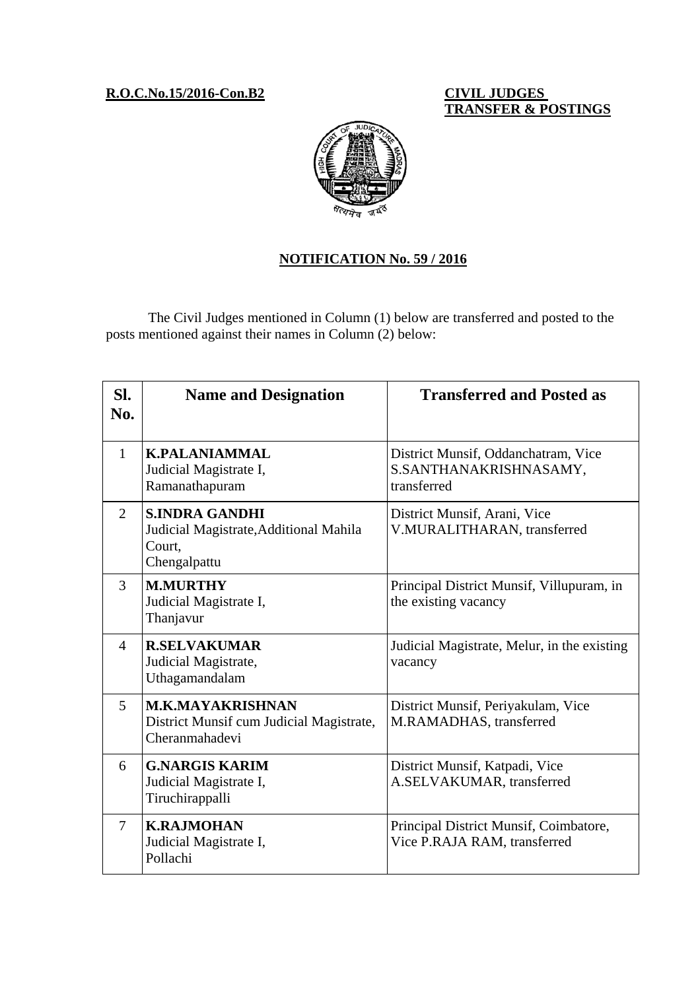**R.O.C.No.15/2016-Con.B2 CIVIL JUDGES**

# **TRANSFER & POSTINGS**



### **NOTIFICATION No. 59 / 2016**

The Civil Judges mentioned in Column (1) below are transferred and posted to the posts mentioned against their names in Column (2) below:

| SI.<br>No.     | <b>Name and Designation</b>                                                               | <b>Transferred and Posted as</b>                                             |
|----------------|-------------------------------------------------------------------------------------------|------------------------------------------------------------------------------|
| $\mathbf{1}$   | <b>K.PALANIAMMAL</b><br>Judicial Magistrate I,<br>Ramanathapuram                          | District Munsif, Oddanchatram, Vice<br>S.SANTHANAKRISHNASAMY,<br>transferred |
| $\overline{2}$ | <b>S.INDRA GANDHI</b><br>Judicial Magistrate, Additional Mahila<br>Court,<br>Chengalpattu | District Munsif, Arani, Vice<br>V.MURALITHARAN, transferred                  |
| 3              | <b>M.MURTHY</b><br>Judicial Magistrate I,<br>Thanjavur                                    | Principal District Munsif, Villupuram, in<br>the existing vacancy            |
| $\overline{4}$ | <b>R.SELVAKUMAR</b><br>Judicial Magistrate,<br>Uthagamandalam                             | Judicial Magistrate, Melur, in the existing<br>vacancy                       |
| 5              | <b>M.K.MAYAKRISHNAN</b><br>District Munsif cum Judicial Magistrate,<br>Cheranmahadevi     | District Munsif, Periyakulam, Vice<br>M.RAMADHAS, transferred                |
| 6              | <b>G.NARGIS KARIM</b><br>Judicial Magistrate I,<br>Tiruchirappalli                        | District Munsif, Katpadi, Vice<br>A.SELVAKUMAR, transferred                  |
| $\overline{7}$ | <b>K.RAJMOHAN</b><br>Judicial Magistrate I,<br>Pollachi                                   | Principal District Munsif, Coimbatore,<br>Vice P.RAJA RAM, transferred       |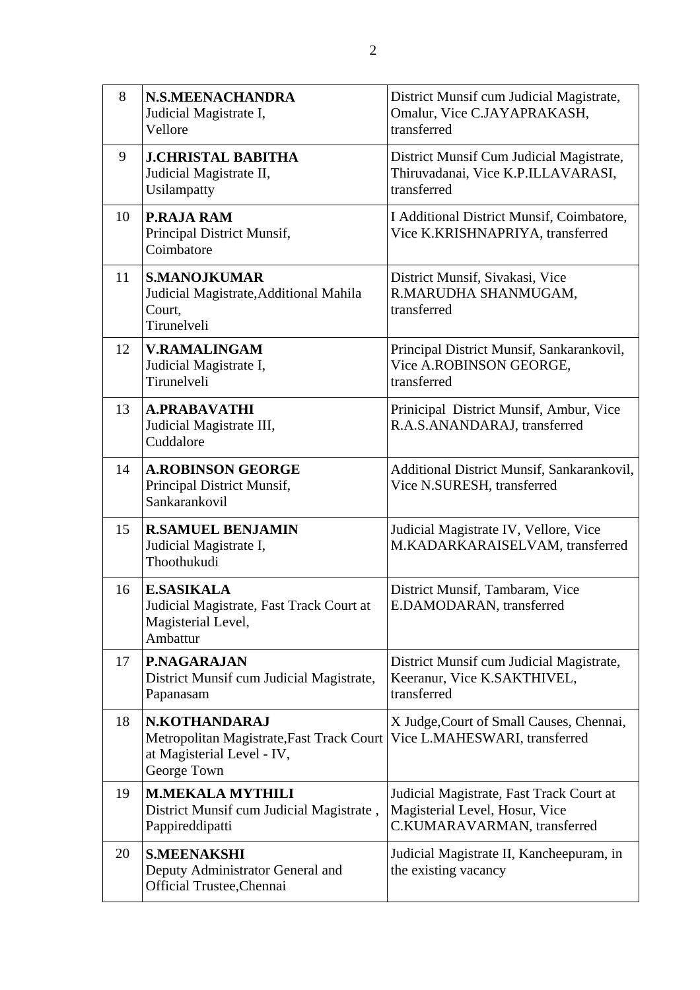| 8  | <b>N.S.MEENACHANDRA</b><br>Judicial Magistrate I,<br>Vellore                                            | District Munsif cum Judicial Magistrate,<br>Omalur, Vice C.JAYAPRAKASH,<br>transferred                    |
|----|---------------------------------------------------------------------------------------------------------|-----------------------------------------------------------------------------------------------------------|
| 9  | <b>J.CHRISTAL BABITHA</b><br>Judicial Magistrate II,<br>Usilampatty                                     | District Munsif Cum Judicial Magistrate,<br>Thiruvadanai, Vice K.P.ILLAVARASI,<br>transferred             |
| 10 | <b>P.RAJA RAM</b><br>Principal District Munsif,<br>Coimbatore                                           | I Additional District Munsif, Coimbatore,<br>Vice K.KRISHNAPRIYA, transferred                             |
| 11 | <b>S.MANOJKUMAR</b><br>Judicial Magistrate, Additional Mahila<br>Court,<br>Tirunelveli                  | District Munsif, Sivakasi, Vice<br>R.MARUDHA SHANMUGAM,<br>transferred                                    |
| 12 | <b>V.RAMALINGAM</b><br>Judicial Magistrate I,<br>Tirunelveli                                            | Principal District Munsif, Sankarankovil,<br>Vice A.ROBINSON GEORGE,<br>transferred                       |
| 13 | <b>A.PRABAVATHI</b><br>Judicial Magistrate III,<br>Cuddalore                                            | Prinicipal District Munsif, Ambur, Vice<br>R.A.S.ANANDARAJ, transferred                                   |
| 14 | <b>A.ROBINSON GEORGE</b><br>Principal District Munsif,<br>Sankarankovil                                 | Additional District Munsif, Sankarankovil,<br>Vice N.SURESH, transferred                                  |
| 15 | <b>R.SAMUEL BENJAMIN</b><br>Judicial Magistrate I,<br>Thoothukudi                                       | Judicial Magistrate IV, Vellore, Vice<br>M.KADARKARAISELVAM, transferred                                  |
| 16 | <b>E.SASIKALA</b><br>Judicial Magistrate, Fast Track Court at<br>Magisterial Level,<br>Ambattur         | District Munsif, Tambaram, Vice<br>E.DAMODARAN, transferred                                               |
| 17 | <b>P.NAGARAJAN</b><br>District Munsif cum Judicial Magistrate,<br>Papanasam                             | District Munsif cum Judicial Magistrate,<br>Keeranur, Vice K.SAKTHIVEL,<br>transferred                    |
| 18 | N.KOTHANDARAJ<br>Metropolitan Magistrate, Fast Track Court<br>at Magisterial Level - IV,<br>George Town | X Judge, Court of Small Causes, Chennai,<br>Vice L.MAHESWARI, transferred                                 |
| 19 | <b>M.MEKALA MYTHILI</b><br>District Munsif cum Judicial Magistrate,<br>Pappireddipatti                  | Judicial Magistrate, Fast Track Court at<br>Magisterial Level, Hosur, Vice<br>C.KUMARAVARMAN, transferred |
| 20 | <b>S.MEENAKSHI</b><br>Deputy Administrator General and<br>Official Trustee, Chennai                     | Judicial Magistrate II, Kancheepuram, in<br>the existing vacancy                                          |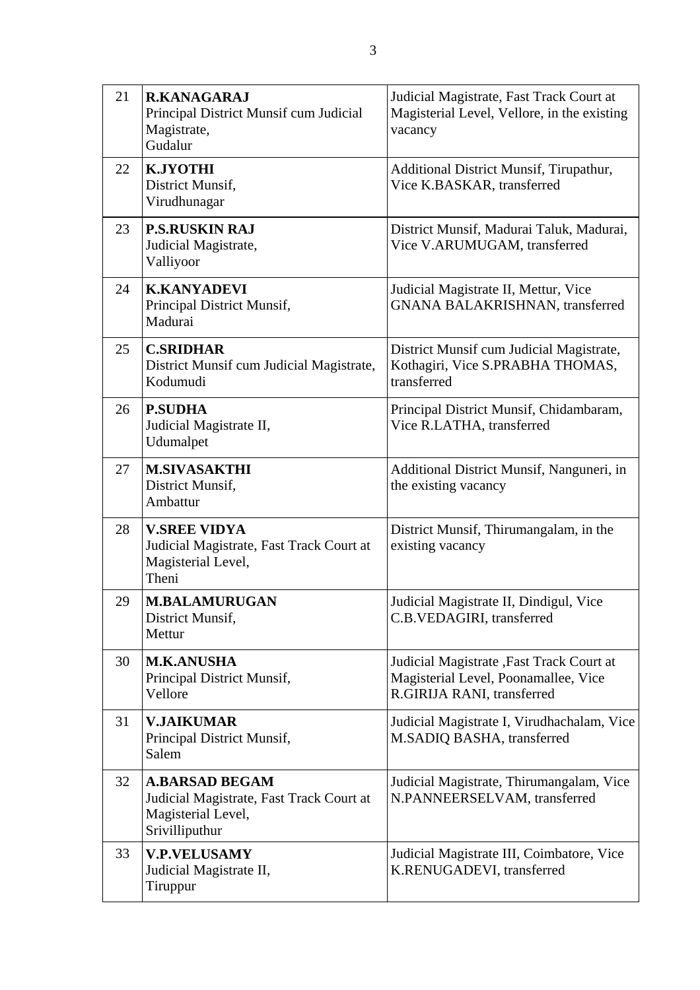| 21 | <b>R.KANAGARAJ</b><br>Principal District Munsif cum Judicial<br>Magistrate,<br>Gudalur                    | Judicial Magistrate, Fast Track Court at<br>Magisterial Level, Vellore, in the existing<br>vacancy              |
|----|-----------------------------------------------------------------------------------------------------------|-----------------------------------------------------------------------------------------------------------------|
| 22 | K.JYOTHI<br>District Munsif,<br>Virudhunagar                                                              | Additional District Munsif, Tirupathur,<br>Vice K.BASKAR, transferred                                           |
| 23 | <b>P.S.RUSKIN RAJ</b><br>Judicial Magistrate,<br>Valliyoor                                                | District Munsif, Madurai Taluk, Madurai,<br>Vice V.ARUMUGAM, transferred                                        |
| 24 | <b>K.KANYADEVI</b><br>Principal District Munsif,<br>Madurai                                               | Judicial Magistrate II, Mettur, Vice<br>GNANA BALAKRISHNAN, transferred                                         |
| 25 | <b>C.SRIDHAR</b><br>District Munsif cum Judicial Magistrate,<br>Kodumudi                                  | District Munsif cum Judicial Magistrate,<br>Kothagiri, Vice S.PRABHA THOMAS,<br>transferred                     |
| 26 | <b>P.SUDHA</b><br>Judicial Magistrate II,<br>Udumalpet                                                    | Principal District Munsif, Chidambaram,<br>Vice R.LATHA, transferred                                            |
| 27 | <b>M.SIVASAKTHI</b><br>District Munsif,<br>Ambattur                                                       | Additional District Munsif, Nanguneri, in<br>the existing vacancy                                               |
| 28 | <b>V.SREE VIDYA</b><br>Judicial Magistrate, Fast Track Court at<br>Magisterial Level,<br>Theni            | District Munsif, Thirumangalam, in the<br>existing vacancy                                                      |
| 29 | <b>M.BALAMURUGAN</b><br>District Munsif,<br>Mettur                                                        | Judicial Magistrate II, Dindigul, Vice<br>C.B.VEDAGIRI, transferred                                             |
| 30 | <b>M.K.ANUSHA</b><br>Principal District Munsif,<br>Vellore                                                | Judicial Magistrate , Fast Track Court at<br>Magisterial Level, Poonamallee, Vice<br>R.GIRIJA RANI, transferred |
| 31 | <b>V.JAIKUMAR</b><br>Principal District Munsif,<br>Salem                                                  | Judicial Magistrate I, Virudhachalam, Vice<br>M.SADIQ BASHA, transferred                                        |
| 32 | <b>A.BARSAD BEGAM</b><br>Judicial Magistrate, Fast Track Court at<br>Magisterial Level,<br>Srivilliputhur | Judicial Magistrate, Thirumangalam, Vice<br>N.PANNEERSELVAM, transferred                                        |
| 33 | <b>V.P.VELUSAMY</b><br>Judicial Magistrate II,<br>Tiruppur                                                | Judicial Magistrate III, Coimbatore, Vice<br>K.RENUGADEVI, transferred                                          |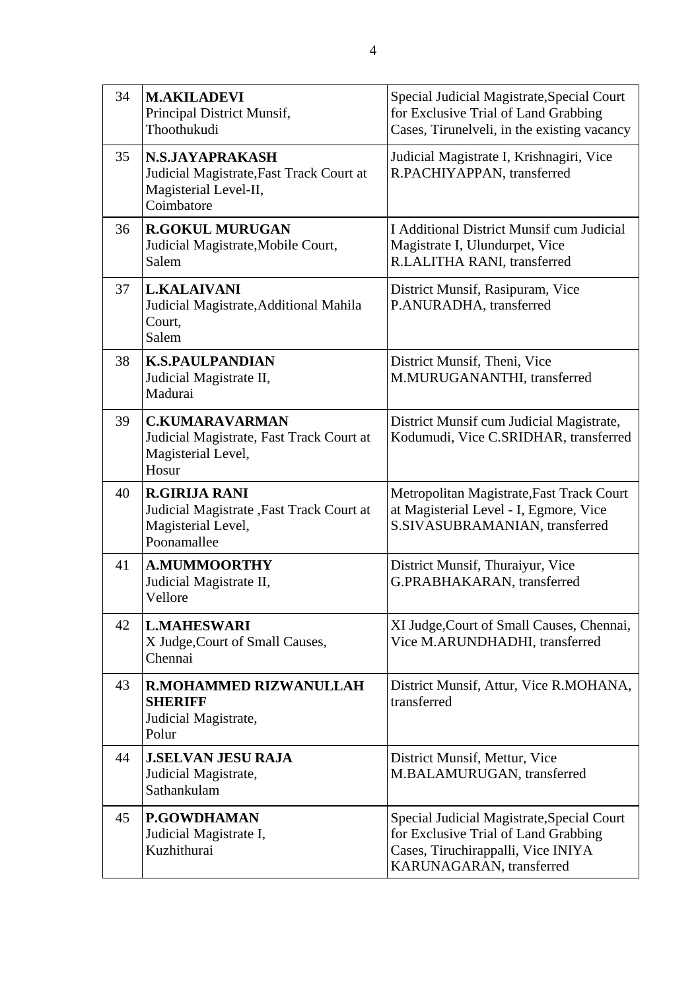| 34 | <b>M.AKILADEVI</b><br>Principal District Munsif,<br>Thoothukudi                                           | Special Judicial Magistrate, Special Court<br>for Exclusive Trial of Land Grabbing<br>Cases, Tirunelveli, in the existing vacancy                    |
|----|-----------------------------------------------------------------------------------------------------------|------------------------------------------------------------------------------------------------------------------------------------------------------|
| 35 | <b>N.S.JAYAPRAKASH</b><br>Judicial Magistrate, Fast Track Court at<br>Magisterial Level-II,<br>Coimbatore | Judicial Magistrate I, Krishnagiri, Vice<br>R.PACHIYAPPAN, transferred                                                                               |
| 36 | <b>R.GOKUL MURUGAN</b><br>Judicial Magistrate, Mobile Court,<br>Salem                                     | I Additional District Munsif cum Judicial<br>Magistrate I, Ulundurpet, Vice<br>R.LALITHA RANI, transferred                                           |
| 37 | <b>L.KALAIVANI</b><br>Judicial Magistrate, Additional Mahila<br>Court,<br>Salem                           | District Munsif, Rasipuram, Vice<br>P.ANURADHA, transferred                                                                                          |
| 38 | <b>K.S.PAULPANDIAN</b><br>Judicial Magistrate II,<br>Madurai                                              | District Munsif, Theni, Vice<br>M.MURUGANANTHI, transferred                                                                                          |
| 39 | <b>C.KUMARAVARMAN</b><br>Judicial Magistrate, Fast Track Court at<br>Magisterial Level,<br>Hosur          | District Munsif cum Judicial Magistrate,<br>Kodumudi, Vice C.SRIDHAR, transferred                                                                    |
| 40 | <b>R.GIRIJA RANI</b><br>Judicial Magistrate , Fast Track Court at<br>Magisterial Level,<br>Poonamallee    | Metropolitan Magistrate, Fast Track Court<br>at Magisterial Level - I, Egmore, Vice<br>S.SIVASUBRAMANIAN, transferred                                |
| 41 | <b>A.MUMMOORTHY</b><br>Judicial Magistrate II,<br>Vellore                                                 | District Munsif, Thuraiyur, Vice<br>G.PRABHAKARAN, transferred                                                                                       |
| 42 | <b>L.MAHESWARI</b><br>X Judge, Court of Small Causes,<br>Chennai                                          | XI Judge, Court of Small Causes, Chennai,<br>Vice M.ARUNDHADHI, transferred                                                                          |
| 43 | <b>R.MOHAMMED RIZWANULLAH</b><br><b>SHERIFF</b><br>Judicial Magistrate,<br>Polur                          | District Munsif, Attur, Vice R.MOHANA,<br>transferred                                                                                                |
| 44 | <b>J.SELVAN JESU RAJA</b><br>Judicial Magistrate,<br>Sathankulam                                          | District Munsif, Mettur, Vice<br>M.BALAMURUGAN, transferred                                                                                          |
| 45 | <b>P.GOWDHAMAN</b><br>Judicial Magistrate I,<br>Kuzhithurai                                               | Special Judicial Magistrate, Special Court<br>for Exclusive Trial of Land Grabbing<br>Cases, Tiruchirappalli, Vice INIYA<br>KARUNAGARAN, transferred |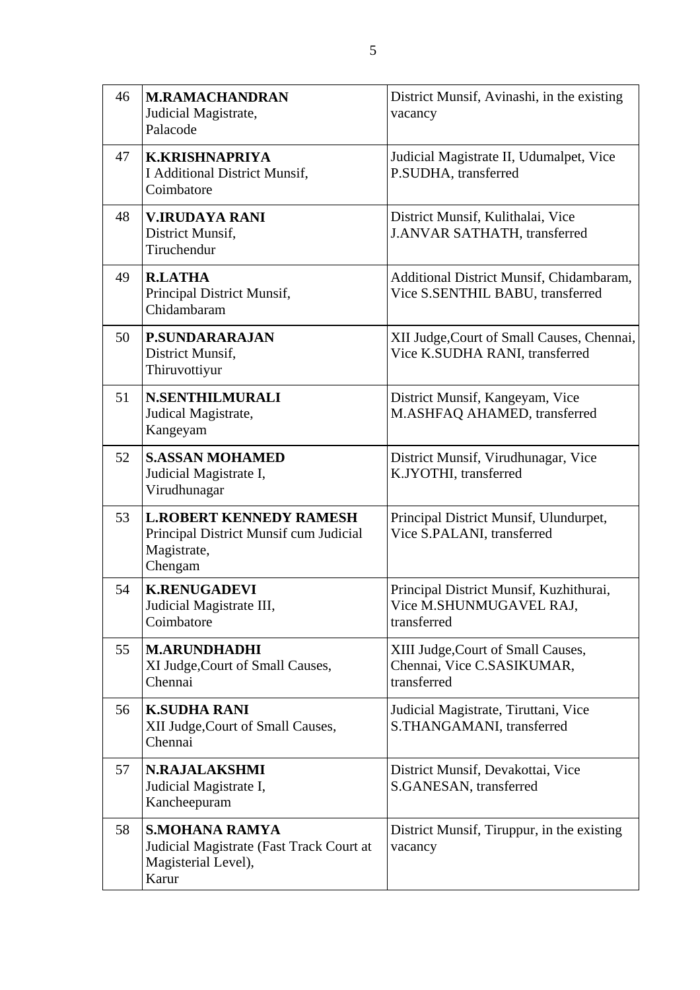| 46 | <b>M.RAMACHANDRAN</b><br>Judicial Magistrate,<br>Palacode                                          | District Munsif, Avinashi, in the existing<br>vacancy                             |
|----|----------------------------------------------------------------------------------------------------|-----------------------------------------------------------------------------------|
| 47 | <b>K.KRISHNAPRIYA</b><br><b>I</b> Additional District Munsif,<br>Coimbatore                        | Judicial Magistrate II, Udumalpet, Vice<br>P.SUDHA, transferred                   |
| 48 | <b>V.IRUDAYA RANI</b><br>District Munsif,<br>Tiruchendur                                           | District Munsif, Kulithalai, Vice<br>J.ANVAR SATHATH, transferred                 |
| 49 | <b>R.LATHA</b><br>Principal District Munsif,<br>Chidambaram                                        | Additional District Munsif, Chidambaram,<br>Vice S.SENTHIL BABU, transferred      |
| 50 | <b>P.SUNDARARAJAN</b><br>District Munsif,<br>Thiruvottiyur                                         | XII Judge, Court of Small Causes, Chennai,<br>Vice K.SUDHA RANI, transferred      |
| 51 | <b>N.SENTHILMURALI</b><br>Judical Magistrate,<br>Kangeyam                                          | District Munsif, Kangeyam, Vice<br>M.ASHFAQ AHAMED, transferred                   |
| 52 | <b>S.ASSAN MOHAMED</b><br>Judicial Magistrate I,<br>Virudhunagar                                   | District Munsif, Virudhunagar, Vice<br>K.JYOTHI, transferred                      |
| 53 | <b>L.ROBERT KENNEDY RAMESH</b><br>Principal District Munsif cum Judicial<br>Magistrate,<br>Chengam | Principal District Munsif, Ulundurpet,<br>Vice S.PALANI, transferred              |
| 54 | <b>K.RENUGADEVI</b><br>Judicial Magistrate III,<br>Coimbatore                                      | Principal District Munsif, Kuzhithurai,<br>Vice M.SHUNMUGAVEL RAJ,<br>transferred |
| 55 | <b>M.ARUNDHADHI</b><br>XI Judge, Court of Small Causes,<br>Chennai                                 | XIII Judge, Court of Small Causes,<br>Chennai, Vice C.SASIKUMAR,<br>transferred   |
| 56 | <b>K.SUDHA RANI</b><br>XII Judge, Court of Small Causes,<br>Chennai                                | Judicial Magistrate, Tiruttani, Vice<br>S.THANGAMANI, transferred                 |
| 57 | <b>N.RAJALAKSHMI</b><br>Judicial Magistrate I,<br>Kancheepuram                                     | District Munsif, Devakottai, Vice<br>S.GANESAN, transferred                       |
| 58 | <b>S.MOHANA RAMYA</b><br>Judicial Magistrate (Fast Track Court at<br>Magisterial Level),<br>Karur  | District Munsif, Tiruppur, in the existing<br>vacancy                             |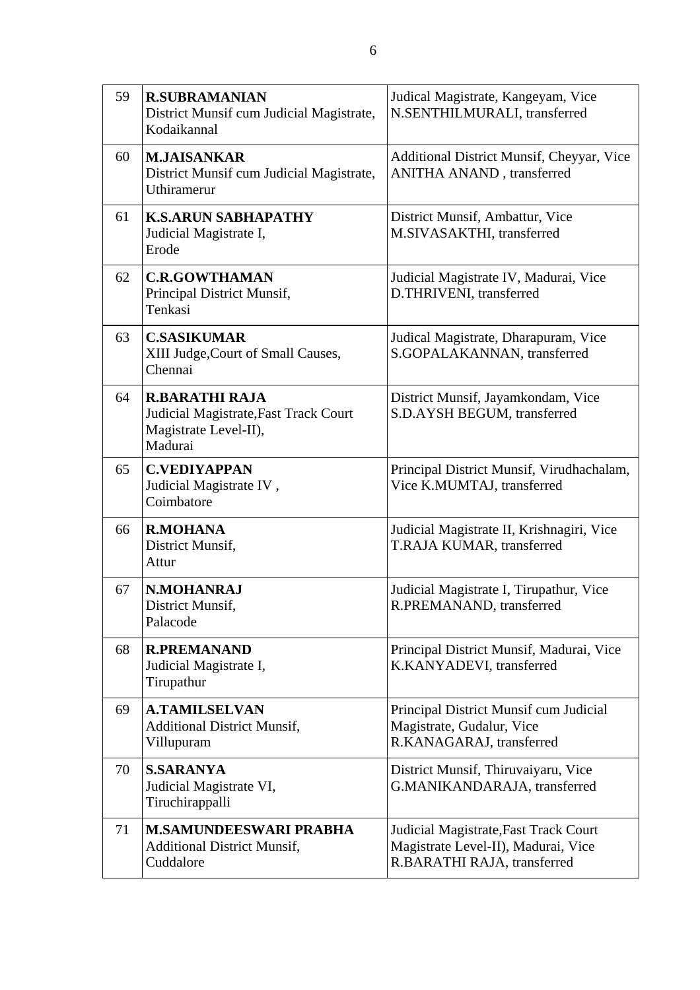| 59 | <b>R.SUBRAMANIAN</b><br>District Munsif cum Judicial Magistrate,<br>Kodaikannal                    | Judical Magistrate, Kangeyam, Vice<br>N.SENTHILMURALI, transferred                                          |
|----|----------------------------------------------------------------------------------------------------|-------------------------------------------------------------------------------------------------------------|
| 60 | <b>M.JAISANKAR</b><br>District Munsif cum Judicial Magistrate,<br>Uthiramerur                      | Additional District Munsif, Cheyyar, Vice<br>ANITHA ANAND, transferred                                      |
| 61 | <b>K.S.ARUN SABHAPATHY</b><br>Judicial Magistrate I,<br>Erode                                      | District Munsif, Ambattur, Vice<br>M.SIVASAKTHI, transferred                                                |
| 62 | <b>C.R.GOWTHAMAN</b><br>Principal District Munsif,<br>Tenkasi                                      | Judicial Magistrate IV, Madurai, Vice<br>D.THRIVENI, transferred                                            |
| 63 | <b>C.SASIKUMAR</b><br>XIII Judge, Court of Small Causes,<br>Chennai                                | Judical Magistrate, Dharapuram, Vice<br>S.GOPALAKANNAN, transferred                                         |
| 64 | <b>R.BARATHI RAJA</b><br>Judicial Magistrate, Fast Track Court<br>Magistrate Level-II),<br>Madurai | District Munsif, Jayamkondam, Vice<br>S.D.AYSH BEGUM, transferred                                           |
| 65 | <b>C.VEDIYAPPAN</b><br>Judicial Magistrate IV,<br>Coimbatore                                       | Principal District Munsif, Virudhachalam,<br>Vice K.MUMTAJ, transferred                                     |
| 66 | <b>R.MOHANA</b><br>District Munsif,<br>Attur                                                       | Judicial Magistrate II, Krishnagiri, Vice<br>T.RAJA KUMAR, transferred                                      |
| 67 | <b>N.MOHANRAJ</b><br>District Munsif,<br>Palacode                                                  | Judicial Magistrate I, Tirupathur, Vice<br>R.PREMANAND, transferred                                         |
| 68 | <b>R.PREMANAND</b><br>Judicial Magistrate I,<br>Tirupathur                                         | Principal District Munsif, Madurai, Vice<br>K.KANYADEVI, transferred                                        |
| 69 | <b>A.TAMILSELVAN</b><br><b>Additional District Munsif,</b><br>Villupuram                           | Principal District Munsif cum Judicial<br>Magistrate, Gudalur, Vice<br>R.KANAGARAJ, transferred             |
| 70 | <b>S.SARANYA</b><br>Judicial Magistrate VI,<br>Tiruchirappalli                                     | District Munsif, Thiruvaiyaru, Vice<br>G.MANIKANDARAJA, transferred                                         |
| 71 | <b>M.SAMUNDEESWARI PRABHA</b><br><b>Additional District Munsif,</b><br>Cuddalore                   | Judicial Magistrate, Fast Track Court<br>Magistrate Level-II), Madurai, Vice<br>R.BARATHI RAJA, transferred |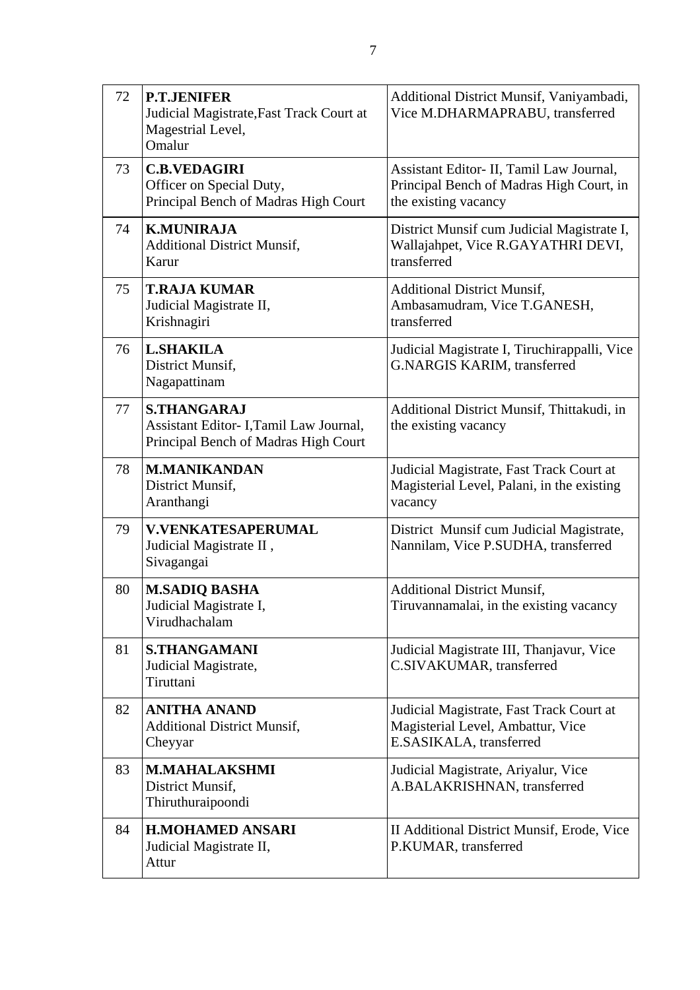| 72 | <b>P.T.JENIFER</b><br>Judicial Magistrate, Fast Track Court at<br>Magestrial Level,<br>Omalur         | Additional District Munsif, Vaniyambadi,<br>Vice M.DHARMAPRABU, transferred                                  |
|----|-------------------------------------------------------------------------------------------------------|--------------------------------------------------------------------------------------------------------------|
| 73 | <b>C.B.VEDAGIRI</b><br>Officer on Special Duty,<br>Principal Bench of Madras High Court               | Assistant Editor- II, Tamil Law Journal,<br>Principal Bench of Madras High Court, in<br>the existing vacancy |
| 74 | <b>K.MUNIRAJA</b><br><b>Additional District Munsif,</b><br>Karur                                      | District Munsif cum Judicial Magistrate I,<br>Wallajahpet, Vice R.GAYATHRI DEVI,<br>transferred              |
| 75 | <b>T.RAJA KUMAR</b><br>Judicial Magistrate II,<br>Krishnagiri                                         | <b>Additional District Munsif,</b><br>Ambasamudram, Vice T.GANESH,<br>transferred                            |
| 76 | <b>L.SHAKILA</b><br>District Munsif,<br>Nagapattinam                                                  | Judicial Magistrate I, Tiruchirappalli, Vice<br><b>G.NARGIS KARIM, transferred</b>                           |
| 77 | <b>S.THANGARAJ</b><br>Assistant Editor- I, Tamil Law Journal,<br>Principal Bench of Madras High Court | Additional District Munsif, Thittakudi, in<br>the existing vacancy                                           |
| 78 | <b>M.MANIKANDAN</b><br>District Munsif,<br>Aranthangi                                                 | Judicial Magistrate, Fast Track Court at<br>Magisterial Level, Palani, in the existing<br>vacancy            |
| 79 | <b>V.VENKATESAPERUMAL</b><br>Judicial Magistrate II,<br>Sivagangai                                    | District Munsif cum Judicial Magistrate,<br>Nannilam, Vice P.SUDHA, transferred                              |
| 80 | <b>M.SADIQ BASHA</b><br>Judicial Magistrate I,<br>Virudhachalam                                       | <b>Additional District Munsif,</b><br>Tiruvannamalai, in the existing vacancy                                |
| 81 | <b>S.THANGAMANI</b><br>Judicial Magistrate,<br>Tiruttani                                              | Judicial Magistrate III, Thanjavur, Vice<br>C.SIVAKUMAR, transferred                                         |
| 82 | <b>ANITHA ANAND</b><br><b>Additional District Munsif,</b><br>Cheyyar                                  | Judicial Magistrate, Fast Track Court at<br>Magisterial Level, Ambattur, Vice<br>E.SASIKALA, transferred     |
| 83 | <b>M.MAHALAKSHMI</b><br>District Munsif,<br>Thiruthuraipoondi                                         | Judicial Magistrate, Ariyalur, Vice<br>A.BALAKRISHNAN, transferred                                           |
| 84 | <b>H.MOHAMED ANSARI</b><br>Judicial Magistrate II,<br>Attur                                           | II Additional District Munsif, Erode, Vice<br>P.KUMAR, transferred                                           |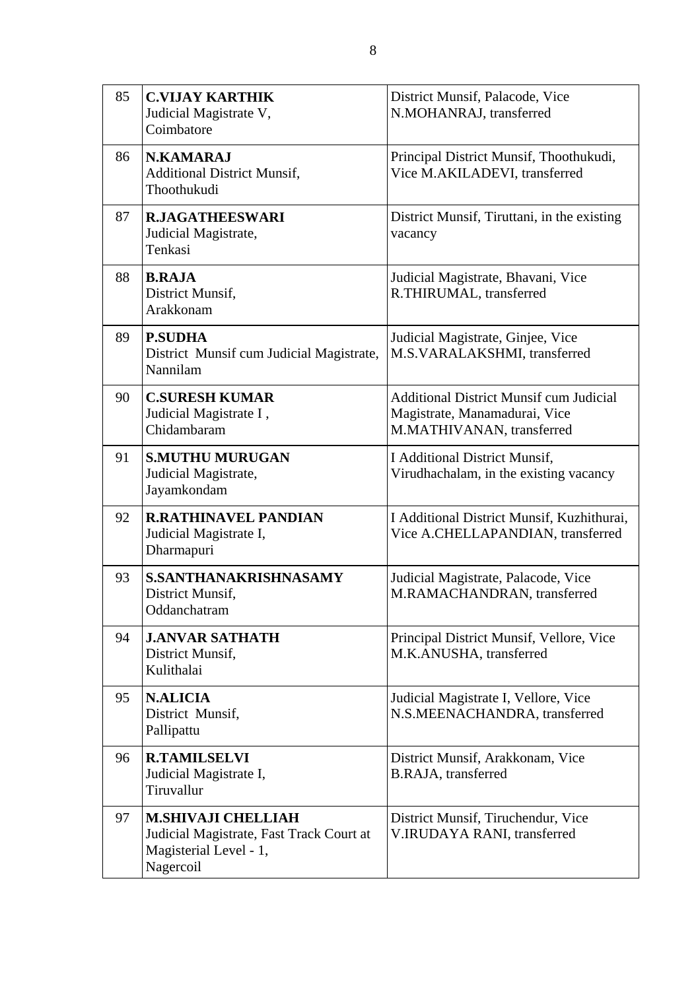| 85 | <b>C.VIJAY KARTHIK</b><br>Judicial Magistrate V,<br>Coimbatore                                               | District Munsif, Palacode, Vice<br>N.MOHANRAJ, transferred                                                   |
|----|--------------------------------------------------------------------------------------------------------------|--------------------------------------------------------------------------------------------------------------|
| 86 | <b>N.KAMARAJ</b><br><b>Additional District Munsif,</b><br>Thoothukudi                                        | Principal District Munsif, Thoothukudi,<br>Vice M.AKILADEVI, transferred                                     |
| 87 | <b>R.JAGATHEESWARI</b><br>Judicial Magistrate,<br>Tenkasi                                                    | District Munsif, Tiruttani, in the existing<br>vacancy                                                       |
| 88 | <b>B.RAJA</b><br>District Munsif,<br>Arakkonam                                                               | Judicial Magistrate, Bhavani, Vice<br>R.THIRUMAL, transferred                                                |
| 89 | <b>P.SUDHA</b><br>District Munsif cum Judicial Magistrate,<br>Nannilam                                       | Judicial Magistrate, Ginjee, Vice<br>M.S.VARALAKSHMI, transferred                                            |
| 90 | <b>C.SURESH KUMAR</b><br>Judicial Magistrate I,<br>Chidambaram                                               | <b>Additional District Munsif cum Judicial</b><br>Magistrate, Manamadurai, Vice<br>M.MATHIVANAN, transferred |
| 91 | <b>S.MUTHU MURUGAN</b><br>Judicial Magistrate,<br>Jayamkondam                                                | <b>I Additional District Munsif,</b><br>Virudhachalam, in the existing vacancy                               |
| 92 | <b>R.RATHINAVEL PANDIAN</b><br>Judicial Magistrate I,<br>Dharmapuri                                          | I Additional District Munsif, Kuzhithurai,<br>Vice A.CHELLAPANDIAN, transferred                              |
| 93 | <b>S.SANTHANAKRISHNASAMY</b><br>District Munsif,<br>Oddanchatram                                             | Judicial Magistrate, Palacode, Vice<br>M.RAMACHANDRAN, transferred                                           |
| 94 | <b>J.ANVAR SATHATH</b><br>District Munsif,<br>Kulithalai                                                     | Principal District Munsif, Vellore, Vice<br>M.K.ANUSHA, transferred                                          |
| 95 | <b>N.ALICIA</b><br>District Munsif,<br>Pallipattu                                                            | Judicial Magistrate I, Vellore, Vice<br>N.S.MEENACHANDRA, transferred                                        |
| 96 | <b>R.TAMILSELVI</b><br>Judicial Magistrate I,<br>Tiruvallur                                                  | District Munsif, Arakkonam, Vice<br>B.RAJA, transferred                                                      |
| 97 | <b>M.SHIVAJI CHELLIAH</b><br>Judicial Magistrate, Fast Track Court at<br>Magisterial Level - 1,<br>Nagercoil | District Munsif, Tiruchendur, Vice<br>V.IRUDAYA RANI, transferred                                            |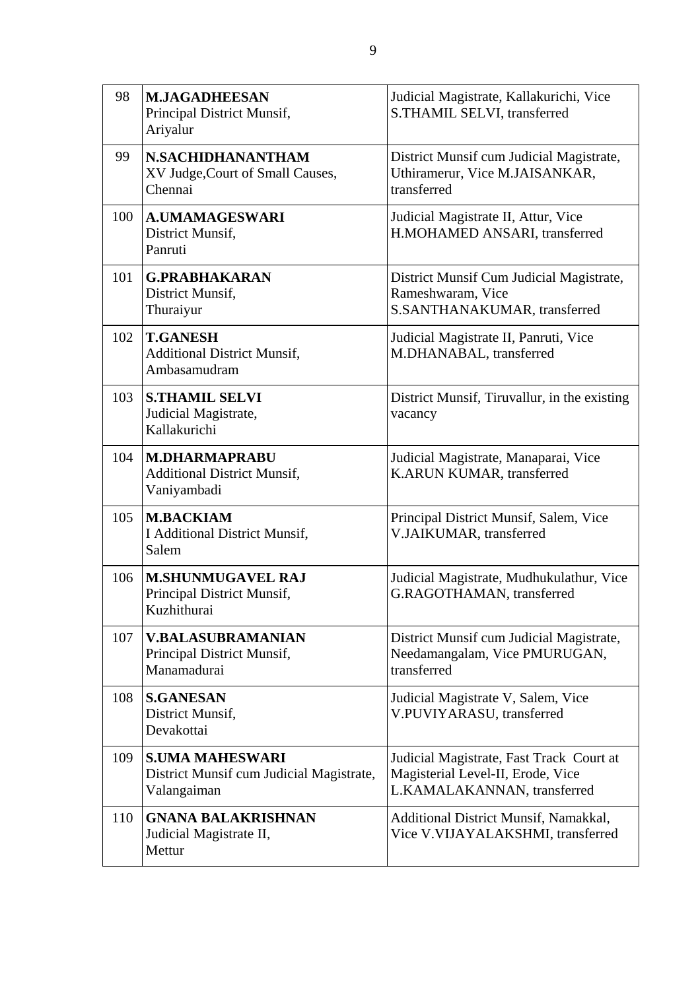| 98  | <b>M.JAGADHEESAN</b><br>Principal District Munsif,<br>Ariyalur                    | Judicial Magistrate, Kallakurichi, Vice<br>S.THAMIL SELVI, transferred                                       |
|-----|-----------------------------------------------------------------------------------|--------------------------------------------------------------------------------------------------------------|
| 99  | <b>N.SACHIDHANANTHAM</b><br>XV Judge, Court of Small Causes,<br>Chennai           | District Munsif cum Judicial Magistrate,<br>Uthiramerur, Vice M.JAISANKAR,<br>transferred                    |
| 100 | <b>A.UMAMAGESWARI</b><br>District Munsif,<br>Panruti                              | Judicial Magistrate II, Attur, Vice<br>H.MOHAMED ANSARI, transferred                                         |
| 101 | <b>G.PRABHAKARAN</b><br>District Munsif,<br>Thuraiyur                             | District Munsif Cum Judicial Magistrate,<br>Rameshwaram, Vice<br>S.SANTHANAKUMAR, transferred                |
| 102 | <b>T.GANESH</b><br><b>Additional District Munsif,</b><br>Ambasamudram             | Judicial Magistrate II, Panruti, Vice<br>M.DHANABAL, transferred                                             |
| 103 | <b>S.THAMIL SELVI</b><br>Judicial Magistrate,<br>Kallakurichi                     | District Munsif, Tiruvallur, in the existing<br>vacancy                                                      |
| 104 | <b>M.DHARMAPRABU</b><br><b>Additional District Munsif,</b><br>Vaniyambadi         | Judicial Magistrate, Manaparai, Vice<br>K.ARUN KUMAR, transferred                                            |
| 105 | <b>M.BACKIAM</b><br>I Additional District Munsif,<br>Salem                        | Principal District Munsif, Salem, Vice<br>V.JAIKUMAR, transferred                                            |
| 106 | <b>M.SHUNMUGAVEL RAJ</b><br>Principal District Munsif,<br>Kuzhithurai             | Judicial Magistrate, Mudhukulathur, Vice<br>G.RAGOTHAMAN, transferred                                        |
| 107 | <b>V.BALASUBRAMANIAN</b><br>Principal District Munsif,<br>Manamadurai             | District Munsif cum Judicial Magistrate,<br>Needamangalam, Vice PMURUGAN,<br>transferred                     |
| 108 | <b>S.GANESAN</b><br>District Munsif,<br>Devakottai                                | Judicial Magistrate V, Salem, Vice<br>V.PUVIYARASU, transferred                                              |
| 109 | <b>S.UMA MAHESWARI</b><br>District Munsif cum Judicial Magistrate,<br>Valangaiman | Judicial Magistrate, Fast Track Court at<br>Magisterial Level-II, Erode, Vice<br>L.KAMALAKANNAN, transferred |
| 110 | <b>GNANA BALAKRISHNAN</b><br>Judicial Magistrate II,<br>Mettur                    | Additional District Munsif, Namakkal,<br>Vice V.VIJAYALAKSHMI, transferred                                   |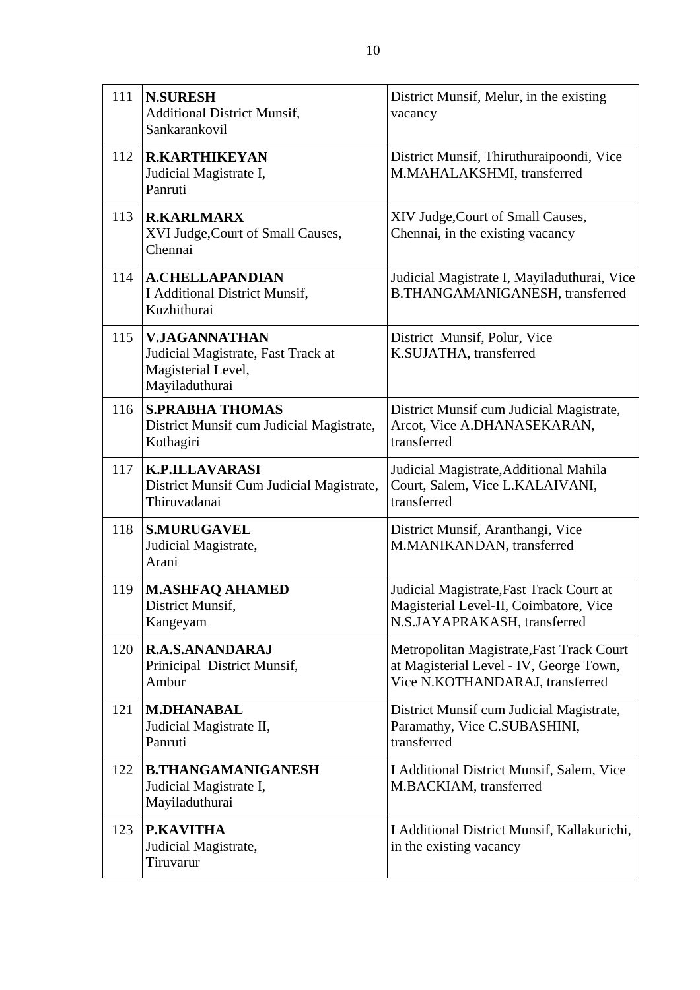| 111 | <b>N.SURESH</b><br><b>Additional District Munsif,</b><br>Sankarankovil                             | District Munsif, Melur, in the existing<br>vacancy                                                                      |
|-----|----------------------------------------------------------------------------------------------------|-------------------------------------------------------------------------------------------------------------------------|
| 112 | <b>R.KARTHIKEYAN</b><br>Judicial Magistrate I,<br>Panruti                                          | District Munsif, Thiruthuraipoondi, Vice<br>M.MAHALAKSHMI, transferred                                                  |
| 113 | <b>R.KARLMARX</b><br>XVI Judge, Court of Small Causes,<br>Chennai                                  | XIV Judge, Court of Small Causes,<br>Chennai, in the existing vacancy                                                   |
| 114 | <b>A.CHELLAPANDIAN</b><br>I Additional District Munsif,<br>Kuzhithurai                             | Judicial Magistrate I, Mayiladuthurai, Vice<br>B.THANGAMANIGANESH, transferred                                          |
| 115 | <b>V.JAGANNATHAN</b><br>Judicial Magistrate, Fast Track at<br>Magisterial Level,<br>Mayiladuthurai | District Munsif, Polur, Vice<br>K.SUJATHA, transferred                                                                  |
| 116 | <b>S.PRABHA THOMAS</b><br>District Munsif cum Judicial Magistrate,<br>Kothagiri                    | District Munsif cum Judicial Magistrate,<br>Arcot, Vice A.DHANASEKARAN,<br>transferred                                  |
| 117 | <b>K.P.ILLAVARASI</b><br>District Munsif Cum Judicial Magistrate,<br>Thiruvadanai                  | Judicial Magistrate, Additional Mahila<br>Court, Salem, Vice L.KALAIVANI,<br>transferred                                |
| 118 | <b>S.MURUGAVEL</b><br>Judicial Magistrate,<br>Arani                                                | District Munsif, Aranthangi, Vice<br>M.MANIKANDAN, transferred                                                          |
| 119 | <b>M.ASHFAQ AHAMED</b><br>District Munsif,<br>Kangeyam                                             | Judicial Magistrate, Fast Track Court at<br>Magisterial Level-II, Coimbatore, Vice<br>N.S.JAYAPRAKASH, transferred      |
| 120 | <b>R.A.S.ANANDARAJ</b><br>Prinicipal District Munsif,<br>Ambur                                     | Metropolitan Magistrate, Fast Track Court<br>at Magisterial Level - IV, George Town,<br>Vice N.KOTHANDARAJ, transferred |
| 121 | <b>M.DHANABAL</b><br>Judicial Magistrate II,<br>Panruti                                            | District Munsif cum Judicial Magistrate,<br>Paramathy, Vice C.SUBASHINI,<br>transferred                                 |
| 122 | <b>B.THANGAMANIGANESH</b><br>Judicial Magistrate I,<br>Mayiladuthurai                              | I Additional District Munsif, Salem, Vice<br>M.BACKIAM, transferred                                                     |
| 123 | <b>P.KAVITHA</b><br>Judicial Magistrate,<br>Tiruvarur                                              | I Additional District Munsif, Kallakurichi,<br>in the existing vacancy                                                  |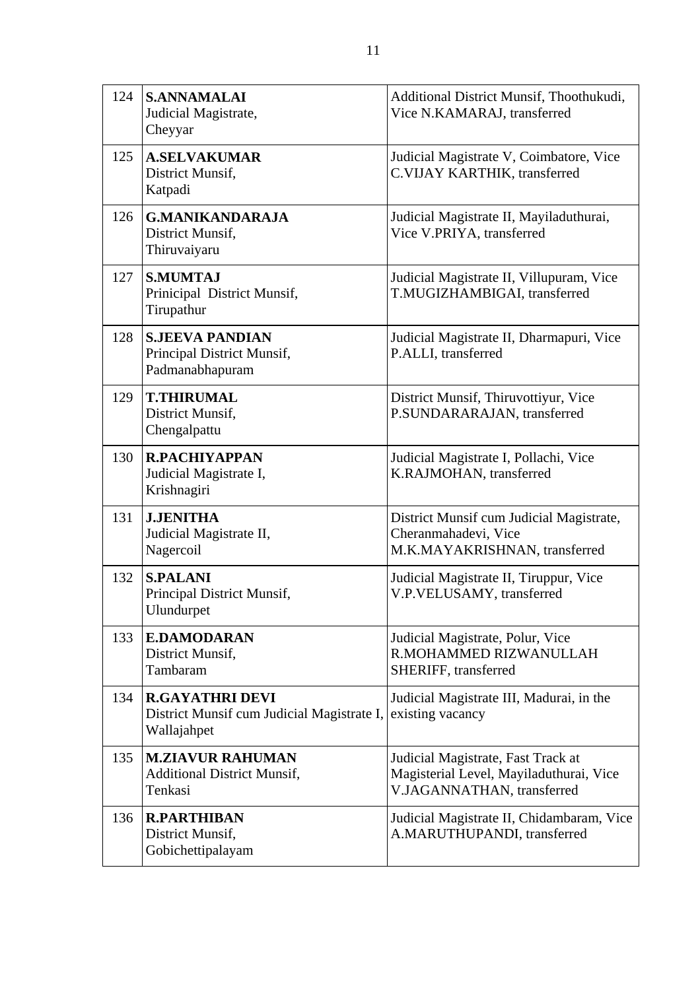| 124 | <b>S.ANNAMALAI</b><br>Judicial Magistrate,<br>Cheyyar                               | Additional District Munsif, Thoothukudi,<br>Vice N.KAMARAJ, transferred                                     |
|-----|-------------------------------------------------------------------------------------|-------------------------------------------------------------------------------------------------------------|
| 125 | <b>A.SELVAKUMAR</b><br>District Munsif,<br>Katpadi                                  | Judicial Magistrate V, Coimbatore, Vice<br>C.VIJAY KARTHIK, transferred                                     |
| 126 | <b>G.MANIKANDARAJA</b><br>District Munsif,<br>Thiruvaiyaru                          | Judicial Magistrate II, Mayiladuthurai,<br>Vice V.PRIYA, transferred                                        |
| 127 | <b>S.MUMTAJ</b><br>Prinicipal District Munsif,<br>Tirupathur                        | Judicial Magistrate II, Villupuram, Vice<br>T.MUGIZHAMBIGAI, transferred                                    |
| 128 | <b>S.JEEVA PANDIAN</b><br>Principal District Munsif,<br>Padmanabhapuram             | Judicial Magistrate II, Dharmapuri, Vice<br>P.ALLI, transferred                                             |
| 129 | <b>T.THIRUMAL</b><br>District Munsif,<br>Chengalpattu                               | District Munsif, Thiruvottiyur, Vice<br>P.SUNDARARAJAN, transferred                                         |
| 130 | <b>R.PACHIYAPPAN</b><br>Judicial Magistrate I,<br>Krishnagiri                       | Judicial Magistrate I, Pollachi, Vice<br>K.RAJMOHAN, transferred                                            |
| 131 | <b>J.JENITHA</b><br>Judicial Magistrate II,<br>Nagercoil                            | District Munsif cum Judicial Magistrate,<br>Cheranmahadevi, Vice<br>M.K.MAYAKRISHNAN, transferred           |
| 132 | <b>S.PALANI</b><br>Principal District Munsif,<br>Ulundurpet                         | Judicial Magistrate II, Tiruppur, Vice<br>V.P.VELUSAMY, transferred                                         |
| 133 | <b>E.DAMODARAN</b><br>District Munsif,<br>Tambaram                                  | Judicial Magistrate, Polur, Vice<br>R.MOHAMMED RIZWANULLAH<br>SHERIFF, transferred                          |
| 134 | <b>R.GAYATHRI DEVI</b><br>District Munsif cum Judicial Magistrate I,<br>Wallajahpet | Judicial Magistrate III, Madurai, in the<br>existing vacancy                                                |
| 135 | <b>M.ZIAVUR RAHUMAN</b><br><b>Additional District Munsif,</b><br>Tenkasi            | Judicial Magistrate, Fast Track at<br>Magisterial Level, Mayiladuthurai, Vice<br>V.JAGANNATHAN, transferred |
| 136 | <b>R.PARTHIBAN</b><br>District Munsif,<br>Gobichettipalayam                         | Judicial Magistrate II, Chidambaram, Vice<br>A.MARUTHUPANDI, transferred                                    |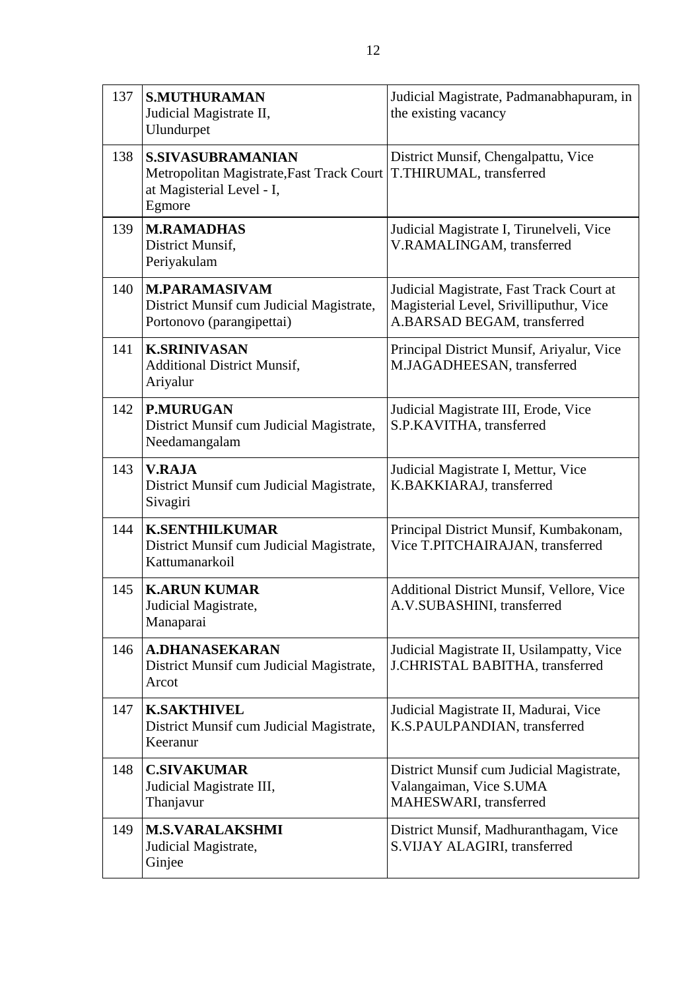| 137 | <b>S.MUTHURAMAN</b><br>Judicial Magistrate II,<br>Ulundurpet                                                 | Judicial Magistrate, Padmanabhapuram, in<br>the existing vacancy                                                   |
|-----|--------------------------------------------------------------------------------------------------------------|--------------------------------------------------------------------------------------------------------------------|
| 138 | <b>S.SIVASUBRAMANIAN</b><br>Metropolitan Magistrate, Fast Track Court<br>at Magisterial Level - I,<br>Egmore | District Munsif, Chengalpattu, Vice<br>T.THIRUMAL, transferred                                                     |
| 139 | <b>M.RAMADHAS</b><br>District Munsif,<br>Periyakulam                                                         | Judicial Magistrate I, Tirunelveli, Vice<br>V.RAMALINGAM, transferred                                              |
| 140 | <b>M.PARAMASIVAM</b><br>District Munsif cum Judicial Magistrate,<br>Portonovo (parangipettai)                | Judicial Magistrate, Fast Track Court at<br>Magisterial Level, Srivilliputhur, Vice<br>A.BARSAD BEGAM, transferred |
| 141 | <b>K.SRINIVASAN</b><br><b>Additional District Munsif,</b><br>Ariyalur                                        | Principal District Munsif, Ariyalur, Vice<br>M.JAGADHEESAN, transferred                                            |
| 142 | <b>P.MURUGAN</b><br>District Munsif cum Judicial Magistrate,<br>Needamangalam                                | Judicial Magistrate III, Erode, Vice<br>S.P.KAVITHA, transferred                                                   |
| 143 | <b>V.RAJA</b><br>District Munsif cum Judicial Magistrate,<br>Sivagiri                                        | Judicial Magistrate I, Mettur, Vice<br>K.BAKKIARAJ, transferred                                                    |
| 144 | <b>K.SENTHILKUMAR</b><br>District Munsif cum Judicial Magistrate,<br>Kattumanarkoil                          | Principal District Munsif, Kumbakonam,<br>Vice T.PITCHAIRAJAN, transferred                                         |
| 145 | <b>K.ARUN KUMAR</b><br>Judicial Magistrate,<br>Manaparai                                                     | Additional District Munsif, Vellore, Vice<br>A.V.SUBASHINI, transferred                                            |
| 146 | <b>A.DHANASEKARAN</b><br>District Munsif cum Judicial Magistrate,<br>Arcot                                   | Judicial Magistrate II, Usilampatty, Vice<br>J.CHRISTAL BABITHA, transferred                                       |
| 147 | <b>K.SAKTHIVEL</b><br>District Munsif cum Judicial Magistrate,<br>Keeranur                                   | Judicial Magistrate II, Madurai, Vice<br>K.S.PAULPANDIAN, transferred                                              |
| 148 | <b>C.SIVAKUMAR</b><br>Judicial Magistrate III,<br>Thanjavur                                                  | District Munsif cum Judicial Magistrate,<br>Valangaiman, Vice S.UMA<br>MAHESWARI, transferred                      |
| 149 | <b>M.S.VARALAKSHMI</b><br>Judicial Magistrate,<br>Ginjee                                                     | District Munsif, Madhuranthagam, Vice<br>S.VIJAY ALAGIRI, transferred                                              |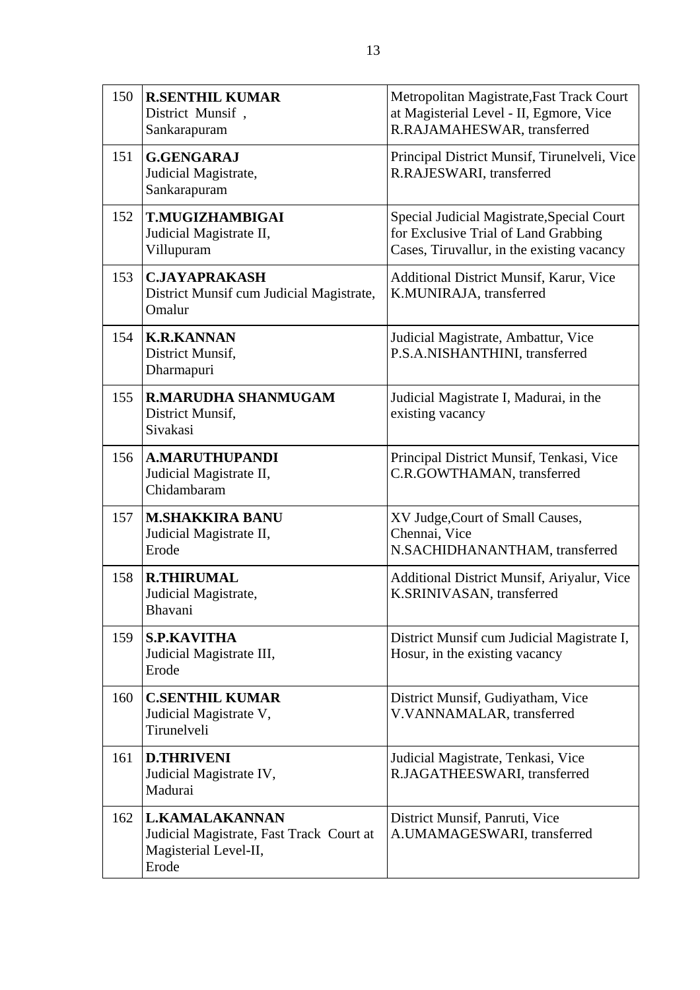| 150 | <b>R.SENTHIL KUMAR</b><br>District Munsif,<br>Sankarapuram                                          | Metropolitan Magistrate, Fast Track Court<br>at Magisterial Level - II, Egmore, Vice<br>R.RAJAMAHESWAR, transferred              |
|-----|-----------------------------------------------------------------------------------------------------|----------------------------------------------------------------------------------------------------------------------------------|
| 151 | <b>G.GENGARAJ</b><br>Judicial Magistrate,<br>Sankarapuram                                           | Principal District Munsif, Tirunelveli, Vice<br>R.RAJESWARI, transferred                                                         |
| 152 | <b>T.MUGIZHAMBIGAI</b><br>Judicial Magistrate II,<br>Villupuram                                     | Special Judicial Magistrate, Special Court<br>for Exclusive Trial of Land Grabbing<br>Cases, Tiruvallur, in the existing vacancy |
| 153 | <b>C.JAYAPRAKASH</b><br>District Munsif cum Judicial Magistrate,<br>Omalur                          | <b>Additional District Munsif, Karur, Vice</b><br>K.MUNIRAJA, transferred                                                        |
| 154 | <b>K.R.KANNAN</b><br>District Munsif,<br>Dharmapuri                                                 | Judicial Magistrate, Ambattur, Vice<br>P.S.A.NISHANTHINI, transferred                                                            |
| 155 | <b>R.MARUDHA SHANMUGAM</b><br>District Munsif,<br>Sivakasi                                          | Judicial Magistrate I, Madurai, in the<br>existing vacancy                                                                       |
| 156 | <b>A.MARUTHUPANDI</b><br>Judicial Magistrate II,<br>Chidambaram                                     | Principal District Munsif, Tenkasi, Vice<br>C.R.GOWTHAMAN, transferred                                                           |
| 157 | <b>M.SHAKKIRA BANU</b><br>Judicial Magistrate II,<br>Erode                                          | XV Judge, Court of Small Causes,<br>Chennai, Vice<br>N.SACHIDHANANTHAM, transferred                                              |
| 158 | <b>R.THIRUMAL</b><br>Judicial Magistrate,<br><b>Bhavani</b>                                         | Additional District Munsif, Ariyalur, Vice<br>K.SRINIVASAN, transferred                                                          |
| 159 | <b>S.P.KAVITHA</b><br>Judicial Magistrate III,<br>Erode                                             | District Munsif cum Judicial Magistrate I,<br>Hosur, in the existing vacancy                                                     |
| 160 | <b>C.SENTHIL KUMAR</b><br>Judicial Magistrate V,<br>Tirunelveli                                     | District Munsif, Gudiyatham, Vice<br>V.VANNAMALAR, transferred                                                                   |
| 161 | <b>D.THRIVENI</b><br>Judicial Magistrate IV,<br>Madurai                                             | Judicial Magistrate, Tenkasi, Vice<br>R.JAGATHEESWARI, transferred                                                               |
| 162 | <b>L.KAMALAKANNAN</b><br>Judicial Magistrate, Fast Track Court at<br>Magisterial Level-II,<br>Erode | District Munsif, Panruti, Vice<br>A.UMAMAGESWARI, transferred                                                                    |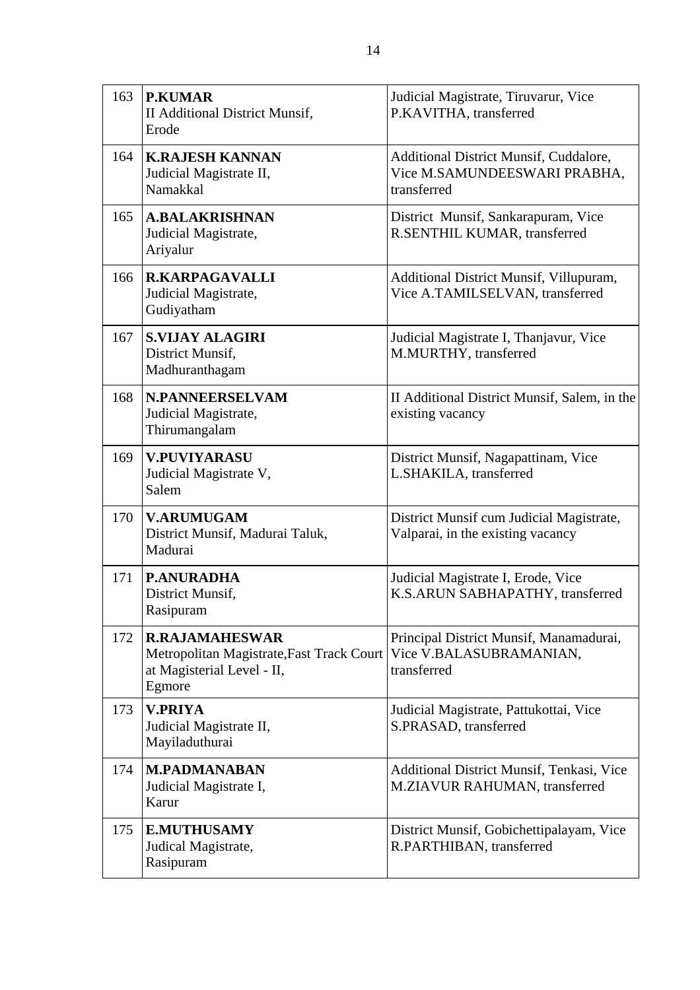| 163 | <b>P.KUMAR</b><br>II Additional District Munsif,<br>Erode                                                  | Judicial Magistrate, Tiruvarur, Vice<br>P.KAVITHA, transferred                        |
|-----|------------------------------------------------------------------------------------------------------------|---------------------------------------------------------------------------------------|
| 164 | <b>K.RAJESH KANNAN</b><br>Judicial Magistrate II,<br>Namakkal                                              | Additional District Munsif, Cuddalore,<br>Vice M.SAMUNDEESWARI PRABHA,<br>transferred |
| 165 | <b>A.BALAKRISHNAN</b><br>Judicial Magistrate,<br>Ariyalur                                                  | District Munsif, Sankarapuram, Vice<br>R.SENTHIL KUMAR, transferred                   |
| 166 | <b>R.KARPAGAVALLI</b><br>Judicial Magistrate,<br>Gudiyatham                                                | Additional District Munsif, Villupuram,<br>Vice A.TAMILSELVAN, transferred            |
| 167 | <b>S.VIJAY ALAGIRI</b><br>District Munsif,<br>Madhuranthagam                                               | Judicial Magistrate I, Thanjavur, Vice<br>M.MURTHY, transferred                       |
| 168 | <b>N.PANNEERSELVAM</b><br>Judicial Magistrate,<br>Thirumangalam                                            | II Additional District Munsif, Salem, in the<br>existing vacancy                      |
| 169 | <b>V.PUVIYARASU</b><br>Judicial Magistrate V,<br>Salem                                                     | District Munsif, Nagapattinam, Vice<br>L.SHAKILA, transferred                         |
| 170 | <b>V.ARUMUGAM</b><br>District Munsif, Madurai Taluk,<br>Madurai                                            | District Munsif cum Judicial Magistrate,<br>Valparai, in the existing vacancy         |
| 171 | <b>P.ANURADHA</b><br>District Munsif,<br>Rasipuram                                                         | Judicial Magistrate I, Erode, Vice<br>K.S.ARUN SABHAPATHY, transferred                |
| 172 | <b>R.RAJAMAHESWAR</b><br>Metropolitan Magistrate, Fast Track Court<br>at Magisterial Level - II,<br>Egmore | Principal District Munsif, Manamadurai,<br>Vice V.BALASUBRAMANIAN,<br>transferred     |
| 173 | <b>V.PRIYA</b><br>Judicial Magistrate II,<br>Mayiladuthurai                                                | Judicial Magistrate, Pattukottai, Vice<br>S.PRASAD, transferred                       |
| 174 | <b>M.PADMANABAN</b><br>Judicial Magistrate I,<br>Karur                                                     | Additional District Munsif, Tenkasi, Vice<br>M.ZIAVUR RAHUMAN, transferred            |
| 175 | <b>E.MUTHUSAMY</b><br>Judical Magistrate,<br>Rasipuram                                                     | District Munsif, Gobichettipalayam, Vice<br>R.PARTHIBAN, transferred                  |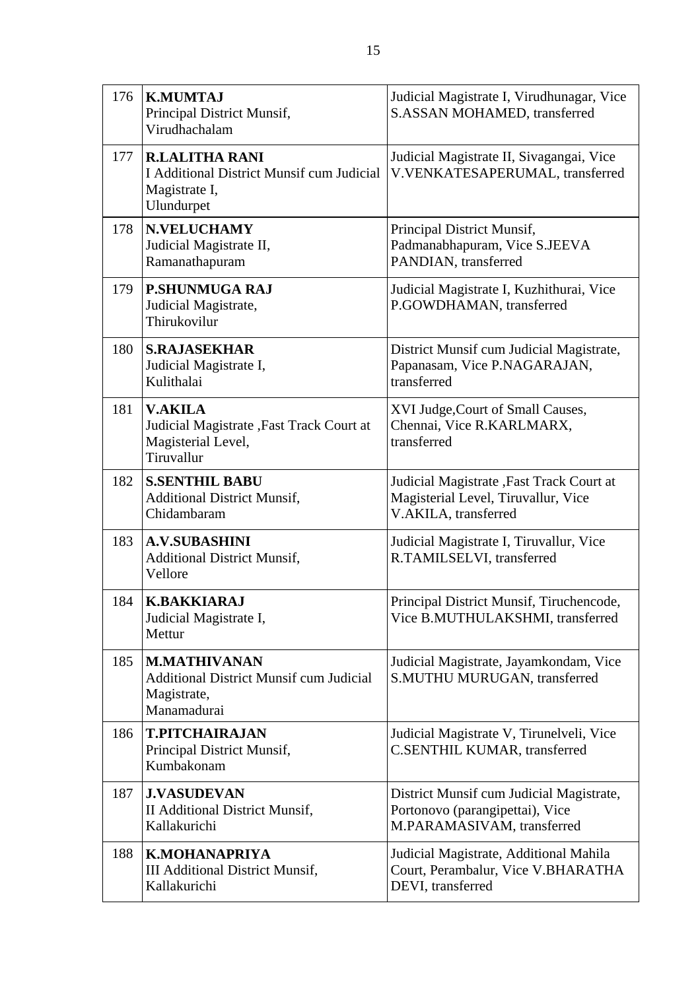| 176 | <b>K.MUMTAJ</b><br>Principal District Munsif,<br>Virudhachalam                                           | Judicial Magistrate I, Virudhunagar, Vice<br>S.ASSAN MOHAMED, transferred                                 |
|-----|----------------------------------------------------------------------------------------------------------|-----------------------------------------------------------------------------------------------------------|
| 177 | <b>R.LALITHA RANI</b><br><b>I Additional District Munsif cum Judicial</b><br>Magistrate I,<br>Ulundurpet | Judicial Magistrate II, Sivagangai, Vice<br>V.VENKATESAPERUMAL, transferred                               |
| 178 | <b>N.VELUCHAMY</b><br>Judicial Magistrate II,<br>Ramanathapuram                                          | Principal District Munsif,<br>Padmanabhapuram, Vice S.JEEVA<br>PANDIAN, transferred                       |
| 179 | <b>P.SHUNMUGA RAJ</b><br>Judicial Magistrate,<br>Thirukovilur                                            | Judicial Magistrate I, Kuzhithurai, Vice<br>P.GOWDHAMAN, transferred                                      |
| 180 | <b>S.RAJASEKHAR</b><br>Judicial Magistrate I,<br>Kulithalai                                              | District Munsif cum Judicial Magistrate,<br>Papanasam, Vice P.NAGARAJAN,<br>transferred                   |
| 181 | <b>V.AKILA</b><br>Judicial Magistrate , Fast Track Court at<br>Magisterial Level,<br>Tiruvallur          | XVI Judge, Court of Small Causes,<br>Chennai, Vice R.KARLMARX,<br>transferred                             |
| 182 | <b>S.SENTHIL BABU</b><br><b>Additional District Munsif,</b><br>Chidambaram                               | Judicial Magistrate , Fast Track Court at<br>Magisterial Level, Tiruvallur, Vice<br>V.AKILA, transferred  |
| 183 | <b>A.V.SUBASHINI</b><br><b>Additional District Munsif,</b><br>Vellore                                    | Judicial Magistrate I, Tiruvallur, Vice<br>R.TAMILSELVI, transferred                                      |
| 184 | <b>K.BAKKIARAJ</b><br>Judicial Magistrate I,<br>Mettur                                                   | Principal District Munsif, Tiruchencode,<br>Vice B.MUTHULAKSHMI, transferred                              |
| 185 | <b>M.MATHIVANAN</b><br><b>Additional District Munsif cum Judicial</b><br>Magistrate,<br>Manamadurai      | Judicial Magistrate, Jayamkondam, Vice<br>S.MUTHU MURUGAN, transferred                                    |
| 186 | <b>T.PITCHAIRAJAN</b><br>Principal District Munsif,<br>Kumbakonam                                        | Judicial Magistrate V, Tirunelveli, Vice<br><b>C.SENTHIL KUMAR, transferred</b>                           |
| 187 | <b>J.VASUDEVAN</b><br><b>II Additional District Munsif,</b><br>Kallakurichi                              | District Munsif cum Judicial Magistrate,<br>Portonovo (parangipettai), Vice<br>M.PARAMASIVAM, transferred |
| 188 | <b>K.MOHANAPRIYA</b><br><b>III Additional District Munsif,</b><br>Kallakurichi                           | Judicial Magistrate, Additional Mahila<br>Court, Perambalur, Vice V.BHARATHA<br>DEVI, transferred         |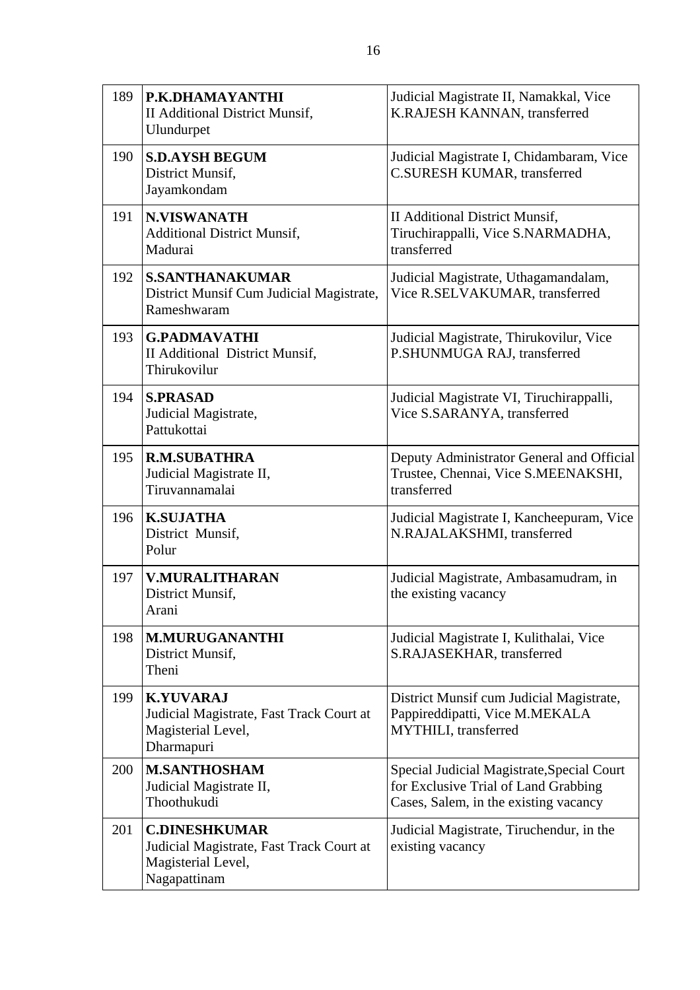| 189 | P.K.DHAMAYANTHI<br><b>II Additional District Munsif,</b><br>Ulundurpet                                 | Judicial Magistrate II, Namakkal, Vice<br>K.RAJESH KANNAN, transferred                                                      |
|-----|--------------------------------------------------------------------------------------------------------|-----------------------------------------------------------------------------------------------------------------------------|
| 190 | <b>S.D.AYSH BEGUM</b><br>District Munsif,<br>Jayamkondam                                               | Judicial Magistrate I, Chidambaram, Vice<br><b>C.SURESH KUMAR, transferred</b>                                              |
| 191 | <b>N.VISWANATH</b><br><b>Additional District Munsif,</b><br>Madurai                                    | <b>II Additional District Munsif,</b><br>Tiruchirappalli, Vice S.NARMADHA,<br>transferred                                   |
| 192 | <b>S.SANTHANAKUMAR</b><br>District Munsif Cum Judicial Magistrate,<br>Rameshwaram                      | Judicial Magistrate, Uthagamandalam,<br>Vice R.SELVAKUMAR, transferred                                                      |
| 193 | <b>G.PADMAVATHI</b><br><b>II Additional District Munsif,</b><br>Thirukovilur                           | Judicial Magistrate, Thirukovilur, Vice<br>P.SHUNMUGA RAJ, transferred                                                      |
| 194 | <b>S.PRASAD</b><br>Judicial Magistrate,<br>Pattukottai                                                 | Judicial Magistrate VI, Tiruchirappalli,<br>Vice S.SARANYA, transferred                                                     |
| 195 | <b>R.M.SUBATHRA</b><br>Judicial Magistrate II,<br>Tiruvannamalai                                       | Deputy Administrator General and Official<br>Trustee, Chennai, Vice S.MEENAKSHI,<br>transferred                             |
| 196 | <b>K.SUJATHA</b><br>District Munsif,<br>Polur                                                          | Judicial Magistrate I, Kancheepuram, Vice<br>N.RAJALAKSHMI, transferred                                                     |
| 197 | <b>V.MURALITHARAN</b><br>District Munsif,<br>Arani                                                     | Judicial Magistrate, Ambasamudram, in<br>the existing vacancy                                                               |
| 198 | <b>M.MURUGANANTHI</b><br>District Munsif,<br>Theni                                                     | Judicial Magistrate I, Kulithalai, Vice<br>S.RAJASEKHAR, transferred                                                        |
| 199 | <b>K.YUVARAJ</b><br>Judicial Magistrate, Fast Track Court at<br>Magisterial Level,<br>Dharmapuri       | District Munsif cum Judicial Magistrate,<br>Pappireddipatti, Vice M.MEKALA<br>MYTHILI, transferred                          |
| 200 | <b>M.SANTHOSHAM</b><br>Judicial Magistrate II,<br>Thoothukudi                                          | Special Judicial Magistrate, Special Court<br>for Exclusive Trial of Land Grabbing<br>Cases, Salem, in the existing vacancy |
| 201 | <b>C.DINESHKUMAR</b><br>Judicial Magistrate, Fast Track Court at<br>Magisterial Level,<br>Nagapattinam | Judicial Magistrate, Tiruchendur, in the<br>existing vacancy                                                                |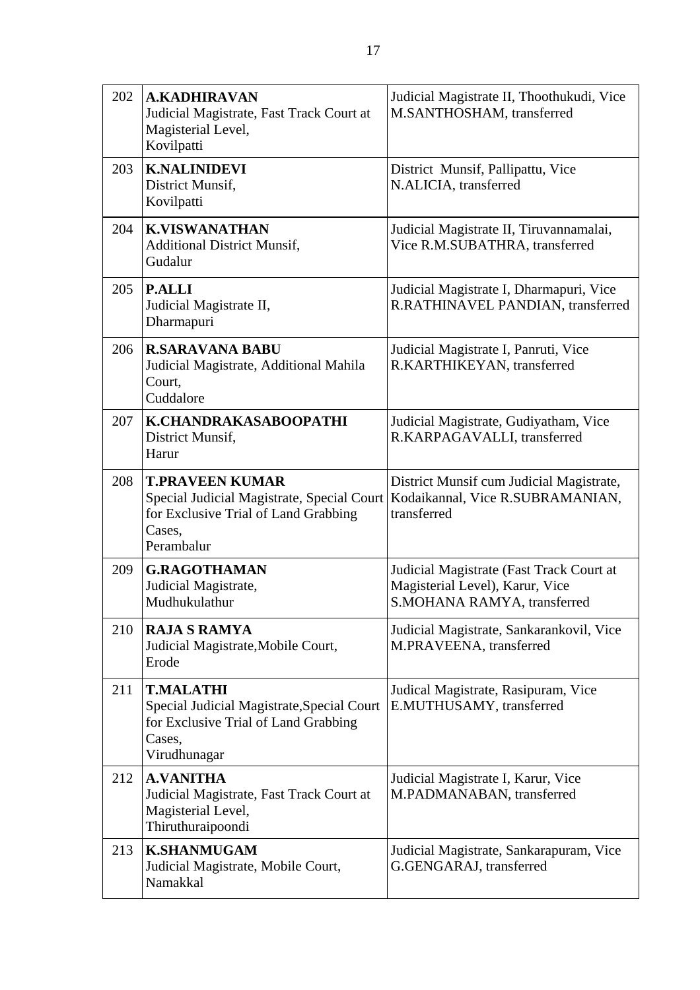| 202 | <b>A.KADHIRAVAN</b><br>Judicial Magistrate, Fast Track Court at<br>Magisterial Level,<br>Kovilpatti                                  | Judicial Magistrate II, Thoothukudi, Vice<br>M.SANTHOSHAM, transferred                                     |
|-----|--------------------------------------------------------------------------------------------------------------------------------------|------------------------------------------------------------------------------------------------------------|
| 203 | <b>K.NALINIDEVI</b><br>District Munsif,<br>Kovilpatti                                                                                | District Munsif, Pallipattu, Vice<br>N.ALICIA, transferred                                                 |
| 204 | <b>K.VISWANATHAN</b><br><b>Additional District Munsif,</b><br>Gudalur                                                                | Judicial Magistrate II, Tiruvannamalai,<br>Vice R.M.SUBATHRA, transferred                                  |
| 205 | <b>P.ALLI</b><br>Judicial Magistrate II,<br>Dharmapuri                                                                               | Judicial Magistrate I, Dharmapuri, Vice<br>R.RATHINAVEL PANDIAN, transferred                               |
| 206 | <b>R.SARAVANA BABU</b><br>Judicial Magistrate, Additional Mahila<br>Court,<br>Cuddalore                                              | Judicial Magistrate I, Panruti, Vice<br>R.KARTHIKEYAN, transferred                                         |
| 207 | K.CHANDRAKASABOOPATHI<br>District Munsif,<br>Harur                                                                                   | Judicial Magistrate, Gudiyatham, Vice<br>R.KARPAGAVALLI, transferred                                       |
| 208 | <b>T.PRAVEEN KUMAR</b><br>Special Judicial Magistrate, Special Court<br>for Exclusive Trial of Land Grabbing<br>Cases,<br>Perambalur | District Munsif cum Judicial Magistrate,<br>Kodaikannal, Vice R.SUBRAMANIAN,<br>transferred                |
| 209 | <b>G.RAGOTHAMAN</b><br>Judicial Magistrate,<br>Mudhukulathur                                                                         | Judicial Magistrate (Fast Track Court at<br>Magisterial Level), Karur, Vice<br>S.MOHANA RAMYA, transferred |
| 210 | <b>RAJA S RAMYA</b><br>Judicial Magistrate, Mobile Court,<br>Erode                                                                   | Judicial Magistrate, Sankarankovil, Vice<br>M.PRAVEENA, transferred                                        |
| 211 | <b>T.MALATHI</b><br>Special Judicial Magistrate, Special Court<br>for Exclusive Trial of Land Grabbing<br>Cases,<br>Virudhunagar     | Judical Magistrate, Rasipuram, Vice<br>E.MUTHUSAMY, transferred                                            |
| 212 | <b>A.VANITHA</b><br>Judicial Magistrate, Fast Track Court at<br>Magisterial Level,<br>Thiruthuraipoondi                              | Judicial Magistrate I, Karur, Vice<br>M.PADMANABAN, transferred                                            |
| 213 | <b>K.SHANMUGAM</b><br>Judicial Magistrate, Mobile Court,<br>Namakkal                                                                 | Judicial Magistrate, Sankarapuram, Vice<br>G.GENGARAJ, transferred                                         |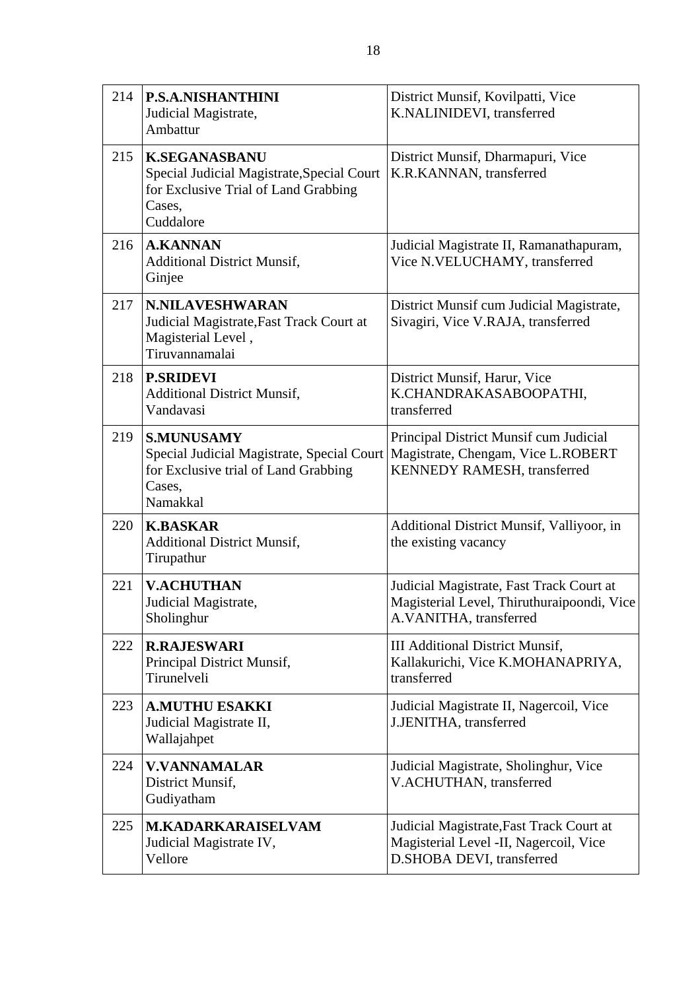| 214 | <b>P.S.A.NISHANTHINI</b><br>Judicial Magistrate,<br>Ambattur                                                                      | District Munsif, Kovilpatti, Vice<br>K.NALINIDEVI, transferred                                                   |
|-----|-----------------------------------------------------------------------------------------------------------------------------------|------------------------------------------------------------------------------------------------------------------|
| 215 | <b>K.SEGANASBANU</b><br>Special Judicial Magistrate, Special Court<br>for Exclusive Trial of Land Grabbing<br>Cases,<br>Cuddalore | District Munsif, Dharmapuri, Vice<br>K.R.KANNAN, transferred                                                     |
| 216 | <b>A.KANNAN</b><br><b>Additional District Munsif,</b><br>Ginjee                                                                   | Judicial Magistrate II, Ramanathapuram,<br>Vice N.VELUCHAMY, transferred                                         |
| 217 | <b>N.NILAVESHWARAN</b><br>Judicial Magistrate, Fast Track Court at<br>Magisterial Level,<br>Tiruvannamalai                        | District Munsif cum Judicial Magistrate,<br>Sivagiri, Vice V.RAJA, transferred                                   |
| 218 | <b>P.SRIDEVI</b><br><b>Additional District Munsif,</b><br>Vandavasi                                                               | District Munsif, Harur, Vice<br>K.CHANDRAKASABOOPATHI,<br>transferred                                            |
| 219 | <b>S.MUNUSAMY</b><br>Special Judicial Magistrate, Special Court<br>for Exclusive trial of Land Grabbing<br>Cases,<br>Namakkal     | Principal District Munsif cum Judicial<br>Magistrate, Chengam, Vice L.ROBERT<br>KENNEDY RAMESH, transferred      |
| 220 | <b>K.BASKAR</b><br><b>Additional District Munsif,</b><br>Tirupathur                                                               | Additional District Munsif, Valliyoor, in<br>the existing vacancy                                                |
| 221 | <b>V.ACHUTHAN</b><br>Judicial Magistrate,<br>Sholinghur                                                                           | Judicial Magistrate, Fast Track Court at<br>Magisterial Level, Thiruthuraipoondi, Vice<br>A.VANITHA, transferred |
| 222 | <b>R.RAJESWARI</b><br>Principal District Munsif,<br>Tirunelveli                                                                   | <b>III Additional District Munsif,</b><br>Kallakurichi, Vice K.MOHANAPRIYA,<br>transferred                       |
| 223 | <b>A.MUTHU ESAKKI</b><br>Judicial Magistrate II,<br>Wallajahpet                                                                   | Judicial Magistrate II, Nagercoil, Vice<br>J.JENITHA, transferred                                                |
| 224 | <b>V.VANNAMALAR</b><br>District Munsif,<br>Gudiyatham                                                                             | Judicial Magistrate, Sholinghur, Vice<br>V.ACHUTHAN, transferred                                                 |
| 225 | <b>M.KADARKARAISELVAM</b><br>Judicial Magistrate IV,<br>Vellore                                                                   | Judicial Magistrate, Fast Track Court at<br>Magisterial Level -II, Nagercoil, Vice<br>D.SHOBA DEVI, transferred  |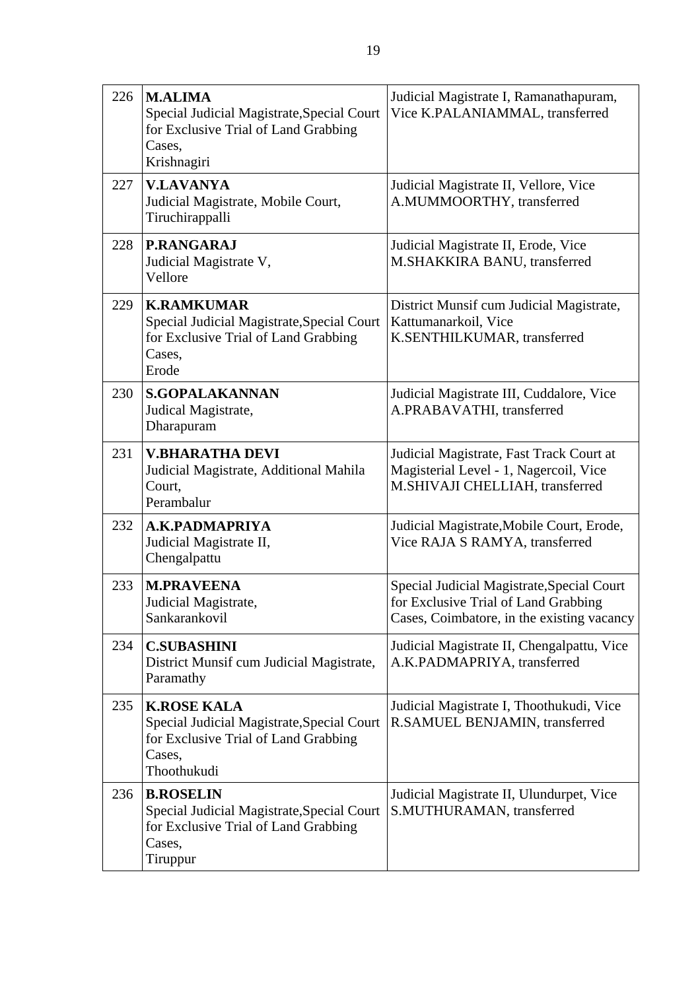| 226 | <b>M.ALIMA</b><br>Special Judicial Magistrate, Special Court<br>for Exclusive Trial of Land Grabbing<br>Cases,<br>Krishnagiri     | Judicial Magistrate I, Ramanathapuram,<br>Vice K.PALANIAMMAL, transferred                                                        |
|-----|-----------------------------------------------------------------------------------------------------------------------------------|----------------------------------------------------------------------------------------------------------------------------------|
| 227 | <b>V.LAVANYA</b><br>Judicial Magistrate, Mobile Court,<br>Tiruchirappalli                                                         | Judicial Magistrate II, Vellore, Vice<br>A.MUMMOORTHY, transferred                                                               |
| 228 | <b>P.RANGARAJ</b><br>Judicial Magistrate V,<br>Vellore                                                                            | Judicial Magistrate II, Erode, Vice<br>M.SHAKKIRA BANU, transferred                                                              |
| 229 | <b>K.RAMKUMAR</b><br>Special Judicial Magistrate, Special Court<br>for Exclusive Trial of Land Grabbing<br>Cases,<br>Erode        | District Munsif cum Judicial Magistrate,<br>Kattumanarkoil, Vice<br>K.SENTHILKUMAR, transferred                                  |
| 230 | <b>S.GOPALAKANNAN</b><br>Judical Magistrate,<br>Dharapuram                                                                        | Judicial Magistrate III, Cuddalore, Vice<br>A.PRABAVATHI, transferred                                                            |
| 231 | <b>V.BHARATHA DEVI</b><br>Judicial Magistrate, Additional Mahila<br>Court,<br>Perambalur                                          | Judicial Magistrate, Fast Track Court at<br>Magisterial Level - 1, Nagercoil, Vice<br>M.SHIVAJI CHELLIAH, transferred            |
| 232 | A.K.PADMAPRIYA<br>Judicial Magistrate II,<br>Chengalpattu                                                                         | Judicial Magistrate, Mobile Court, Erode,<br>Vice RAJA S RAMYA, transferred                                                      |
| 233 | <b>M.PRAVEENA</b><br>Judicial Magistrate,<br>Sankarankovil                                                                        | Special Judicial Magistrate, Special Court<br>for Exclusive Trial of Land Grabbing<br>Cases, Coimbatore, in the existing vacancy |
| 234 | <b>C.SUBASHINI</b><br>District Munsif cum Judicial Magistrate,<br>Paramathy                                                       | Judicial Magistrate II, Chengalpattu, Vice<br>A.K.PADMAPRIYA, transferred                                                        |
| 235 | <b>K.ROSE KALA</b><br>Special Judicial Magistrate, Special Court<br>for Exclusive Trial of Land Grabbing<br>Cases,<br>Thoothukudi | Judicial Magistrate I, Thoothukudi, Vice<br>R.SAMUEL BENJAMIN, transferred                                                       |
| 236 | <b>B.ROSELIN</b><br>Special Judicial Magistrate, Special Court<br>for Exclusive Trial of Land Grabbing<br>Cases,<br>Tiruppur      | Judicial Magistrate II, Ulundurpet, Vice<br>S.MUTHURAMAN, transferred                                                            |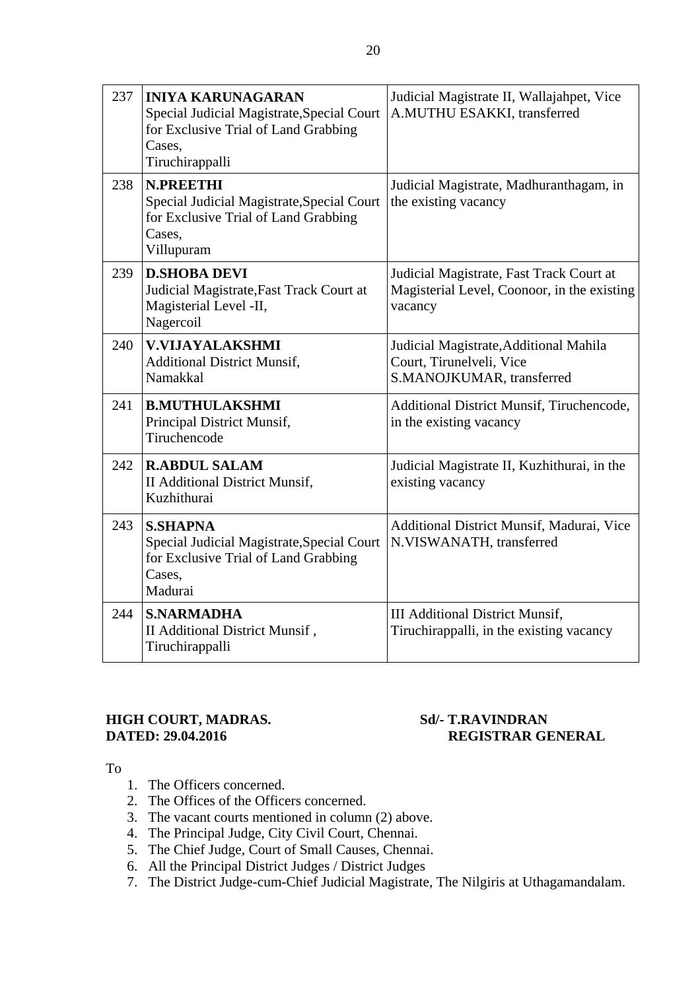| 237 | <b>INIYA KARUNAGARAN</b><br>Special Judicial Magistrate, Special Court<br>for Exclusive Trial of Land Grabbing<br>Cases,<br>Tiruchirappalli | Judicial Magistrate II, Wallajahpet, Vice<br>A.MUTHU ESAKKI, transferred                           |
|-----|---------------------------------------------------------------------------------------------------------------------------------------------|----------------------------------------------------------------------------------------------------|
| 238 | <b>N.PREETHI</b><br>Special Judicial Magistrate, Special Court<br>for Exclusive Trial of Land Grabbing<br>Cases,<br>Villupuram              | Judicial Magistrate, Madhuranthagam, in<br>the existing vacancy                                    |
| 239 | <b>D.SHOBA DEVI</b><br>Judicial Magistrate, Fast Track Court at<br>Magisterial Level -II,<br>Nagercoil                                      | Judicial Magistrate, Fast Track Court at<br>Magisterial Level, Coonoor, in the existing<br>vacancy |
| 240 | <b>V.VIJAYALAKSHMI</b><br><b>Additional District Munsif,</b><br>Namakkal                                                                    | Judicial Magistrate, Additional Mahila<br>Court, Tirunelveli, Vice<br>S.MANOJKUMAR, transferred    |
| 241 | <b>B.MUTHULAKSHMI</b><br>Principal District Munsif,<br>Tiruchencode                                                                         | Additional District Munsif, Tiruchencode,<br>in the existing vacancy                               |
| 242 | <b>R.ABDUL SALAM</b><br><b>II Additional District Munsif,</b><br>Kuzhithurai                                                                | Judicial Magistrate II, Kuzhithurai, in the<br>existing vacancy                                    |
| 243 | <b>S.SHAPNA</b><br>Special Judicial Magistrate, Special Court<br>for Exclusive Trial of Land Grabbing<br>Cases,<br>Madurai                  | Additional District Munsif, Madurai, Vice<br>N.VISWANATH, transferred                              |
| 244 | <b>S.NARMADHA</b><br>II Additional District Munsif,<br>Tiruchirappalli                                                                      | <b>III Additional District Munsif,</b><br>Tiruchirappalli, in the existing vacancy                 |

# **HIGH COURT, MADRAS.** Sd/- T.RAVINDRAN

# **DATED: 29.04.2016 REGISTRAR GENERAL**

To

- 1. The Officers concerned.
- 2. The Offices of the Officers concerned.
- 3. The vacant courts mentioned in column (2) above.
- 4. The Principal Judge, City Civil Court, Chennai.
- 5. The Chief Judge, Court of Small Causes, Chennai.
- 6. All the Principal District Judges / District Judges
- 7. The District Judge-cum-Chief Judicial Magistrate, The Nilgiris at Uthagamandalam.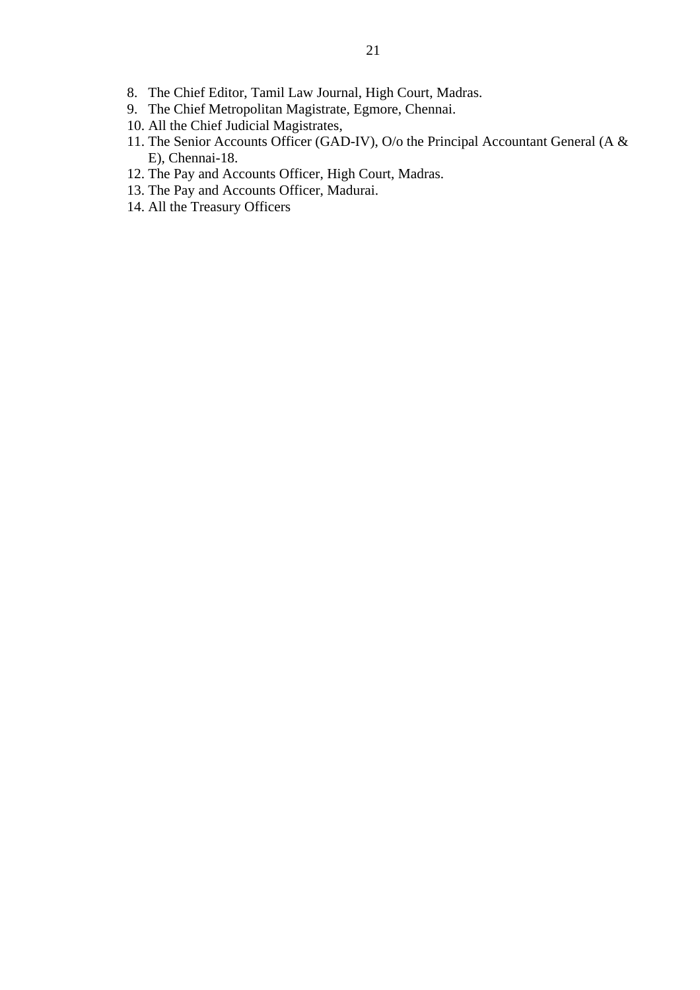- 8. The Chief Editor, Tamil Law Journal, High Court, Madras.
- 9. The Chief Metropolitan Magistrate, Egmore, Chennai.
- 10. All the Chief Judicial Magistrates,
- 11. The Senior Accounts Officer (GAD-IV), O/o the Principal Accountant General (A & E), Chennai-18.
- 12. The Pay and Accounts Officer, High Court, Madras.
- 13. The Pay and Accounts Officer, Madurai.
- 14. All the Treasury Officers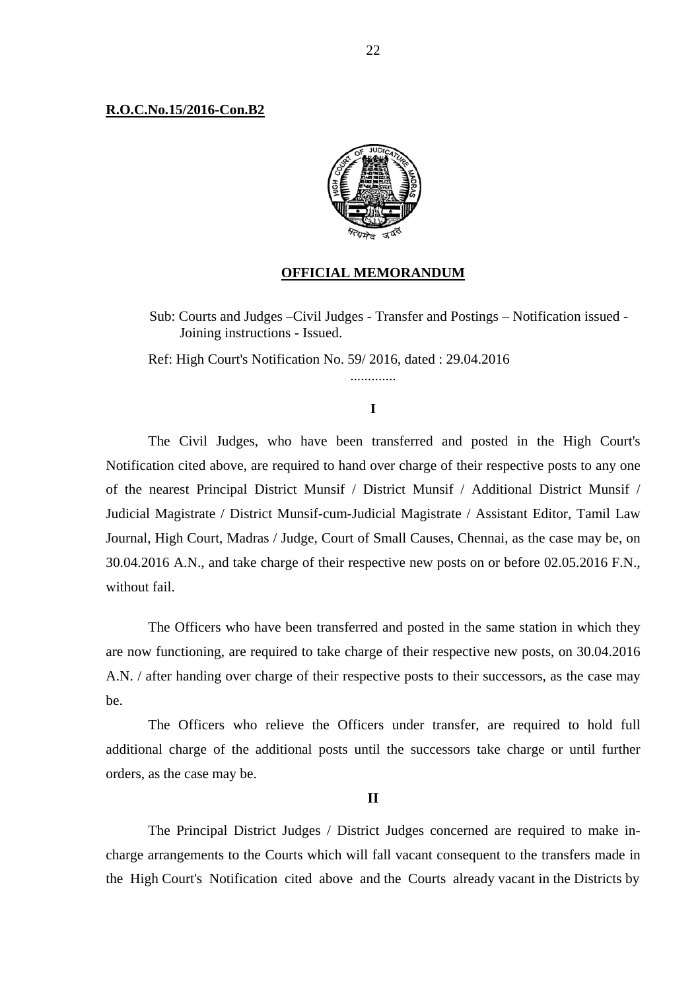### **R.O.C.No.15/2016-Con.B2**



#### **OFFICIAL MEMORANDUM**

Sub: Courts and Judges –Civil Judges - Transfer and Postings – Notification issued - Joining instructions - Issued.

Ref: High Court's Notification No. 59/ 2016, dated : 29.04.2016

#### **I**

.............

The Civil Judges, who have been transferred and posted in the High Court's Notification cited above, are required to hand over charge of their respective posts to any one of the nearest Principal District Munsif / District Munsif / Additional District Munsif / Judicial Magistrate / District Munsif-cum-Judicial Magistrate / Assistant Editor, Tamil Law Journal, High Court, Madras / Judge, Court of Small Causes, Chennai, as the case may be, on 30.04.2016 A.N., and take charge of their respective new posts on or before 02.05.2016 F.N., without fail.

The Officers who have been transferred and posted in the same station in which they are now functioning, are required to take charge of their respective new posts, on 30.04.2016 A.N. / after handing over charge of their respective posts to their successors, as the case may be.

The Officers who relieve the Officers under transfer, are required to hold full additional charge of the additional posts until the successors take charge or until further orders, as the case may be.

#### **II**

The Principal District Judges / District Judges concerned are required to make incharge arrangements to the Courts which will fall vacant consequent to the transfers made in the High Court's Notification cited above and the Courts already vacant in the Districts by